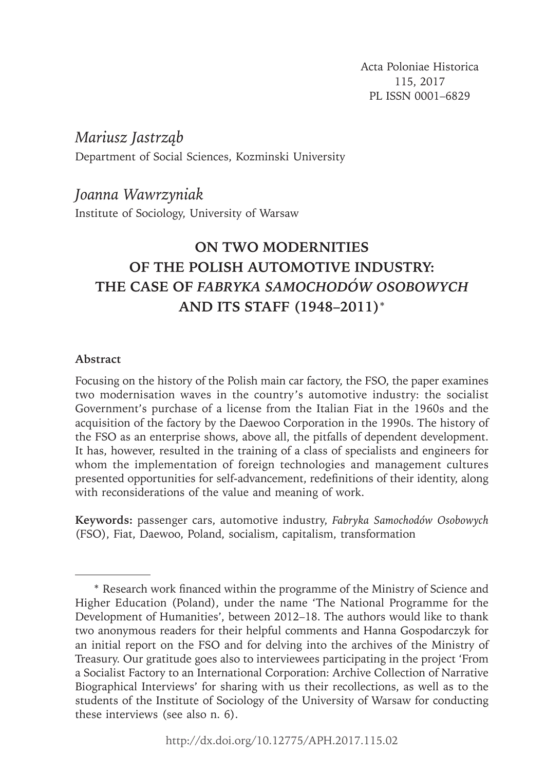Acta Poloniae Historica 115, 2017 PL ISSN 0001–6829

*Mariusz Jastrząb and Joanna Wawrzyniak* Department of Social Sciences, Kozminski University

*Joanna Wawrzyniak*

Institute of Sociology, University of Warsaw

# **ON TWO MODERNITIES OF THE POLISH AUTOMOTIVE INDUSTRY: THE CASE OF** *FABRYKA SAMOCHODÓW OSOBOWYCH*  **AND ITS STAFF (1948–2011)**\*

## **Abstract**

Focusing on the history of the Polish main car factory, the FSO, the paper examines two modernisation waves in the country's automotive industry: the socialist Government's purchase of a license from the Italian Fiat in the 1960s and the acquisition of the factory by the Daewoo Corporation in the 1990s. The history of the FSO as an enterprise shows, above all, the pitfalls of dependent development. It has, however, resulted in the training of a class of specialists and engineers for whom the implementation of foreign technologies and management cultures presented opportunities for self-advancement, redefinitions of their identity, along with reconsiderations of the value and meaning of work.

 $\overline{1}$ **Keywords:** passenger cars, automotive industry, *Fabryka Samochodów Osobowych* (FSO), Fiat, Daewoo, Poland, socialism, capitalism, transformation

<sup>\*</sup> Research work fi nanced within the programme of the Ministry of Science and Higher Education (Poland), under the name 'The National Programme for the Development of Humanities', between 2012–18. The authors would like to thank two anonymous readers for their helpful comments and Hanna Gospodarczyk for an initial report on the FSO and for delving into the archives of the Ministry of Treasury. Our gratitude goes also to interviewees participating in the project 'From a Socialist Factory to an International Corporation: Archive Collection of Narrative Biographical Interviews' for sharing with us their recollections, as well as to the students of the Institute of Sociology of the University of Warsaw for conducting these interviews (see also n. 6).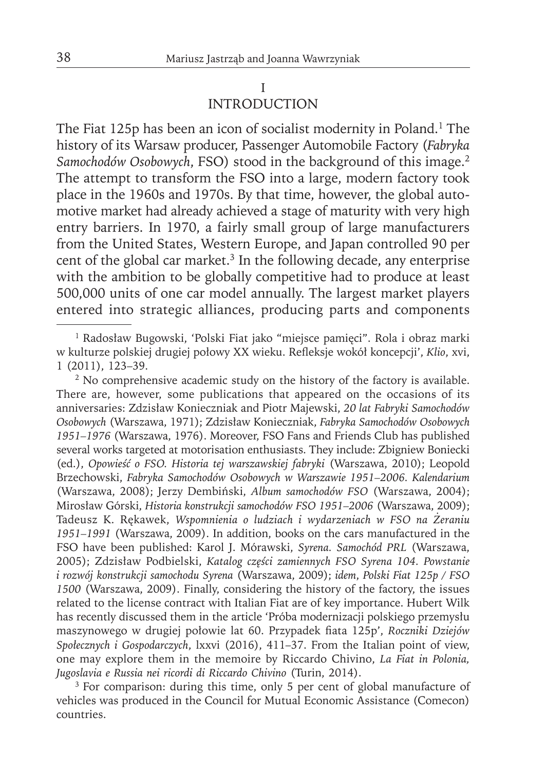## I INTRODUCTION

The Fiat 125p has been an icon of socialist modernity in Poland.<sup>1</sup> The history of its Warsaw producer, Passenger Automobile Factory (*Fabryka Samochodów Osobowych*, FSO) stood in the background of this image.2 The attempt to transform the FSO into a large, modern factory took place in the 1960s and 1970s. By that time, however, the global automotive market had already achieved a stage of maturity with very high entry barriers. In 1970, a fairly small group of large manufacturers from the United States, Western Europe, and Japan controlled 90 per cent of the global car market.<sup>3</sup> In the following decade, any enterprise with the ambition to be globally competitive had to produce at least 500,000 units of one car model annually. The largest market players entered into strategic alliances, producing parts and components

<sup>&</sup>lt;sup>1</sup> Radosław Bugowski, 'Polski Fiat jako "miejsce pamięci". Rola i obraz marki w kulturze polskiej drugiej połowy XX wieku. Refleksje wokół koncepcji', Klio, xvi, 1 (2011), 123–39.

<sup>&</sup>lt;sup>2</sup> No comprehensive academic study on the history of the factory is available. There are, however, some publications that appeared on the occasions of its anniversaries: Zdzisław Konieczniak and Piotr Majewski, *20 lat Fabryki Samochodów Osobowych* (Warszawa, 1971); Zdzisław Konieczniak, *Fabryka Samochodów Osobowych 1951–1976* (Warszawa, 1976). Moreover, FSO Fans and Friends Club has published several works targeted at motorisation enthusiasts. They include: Zbigniew Boniecki (ed.), *Opowieść o FSO. Historia tej warszawskiej fabryki* (Warszawa, 2010); Leopold Brzechowski, *Fabryka Samochodów Osobowych w Warszawie 1951–2006. Kalendarium*  (Warszawa, 2008); Jerzy Dembiński, Album samochodów FSO (Warszawa, 2004); Mirosław Górski, *Historia konstrukcji samochodów FSO 1951–2006* (Warszawa, 2009); Tadeusz K. Rękawek, *Wspomnienia o ludziach i wydarzeniach w FSO na Żeraniu 1951–1991* (Warszawa, 2009). In addition, books on the cars manufactured in the FSO have been published: Karol J. Mórawski, *Syrena. Samochód PRL* (Warszawa, 2005); Zdzisław Podbielski, *Katalog części zamiennych FSO Syrena 104. Powstanie i rozwój konstrukcji samochodu Syrena* (Warszawa, 2009); *idem*, *Polski Fiat 125p / FSO 1500* (Warszawa, 2009). Finally, considering the history of the factory, the issues related to the license contract with Italian Fiat are of key importance. Hubert Wilk has recently discussed them in the article 'Próba modernizacji polskiego przemysłu maszynowego w drugiej połowie lat 60. Przypadek fiata 125p', *Roczniki Dziejów Społecznych i Gospodarczych*, lxxvi (2016), 411–37. From the Italian point of view, one may explore them in the memoire by Riccardo Chivino, *La Fiat in Polonia, Jugoslavia e Russia nei ricordi di Riccardo Chivino* (Turin, 2014).

<sup>&</sup>lt;sup>3</sup> For comparison: during this time, only 5 per cent of global manufacture of vehicles was produced in the Council for Mutual Economic Assistance (Comecon) countries.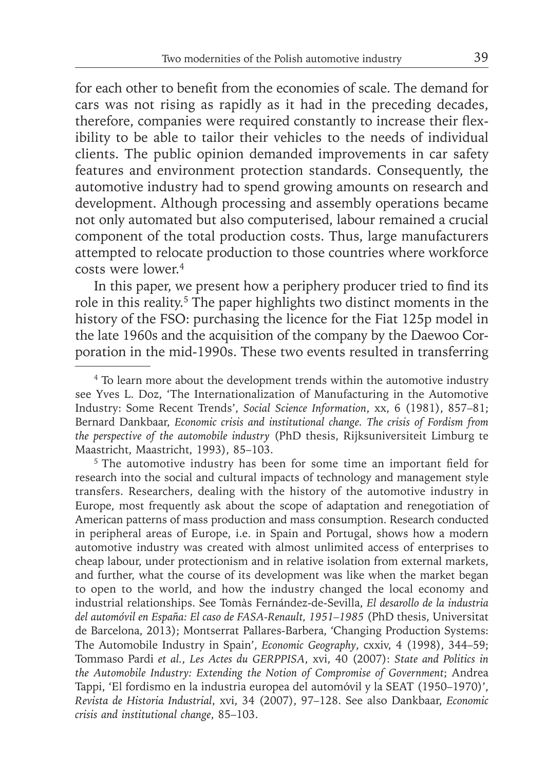for each other to benefit from the economies of scale. The demand for cars was not rising as rapidly as it had in the preceding decades, therefore, companies were required constantly to increase their flexibility to be able to tailor their vehicles to the needs of individual clients. The public opinion demanded improvements in car safety features and environment protection standards. Consequently, the automotive industry had to spend growing amounts on research and development. Although processing and assembly operations became not only automated but also computerised, labour remained a crucial component of the total production costs. Thus, large manufacturers attempted to relocate production to those countries where workforce costs were lower.4

In this paper, we present how a periphery producer tried to find its role in this reality.5 The paper highlights two distinct moments in the history of the FSO: purchasing the licence for the Fiat 125p model in the late 1960s and the acquisition of the company by the Daewoo Corporation in the mid-1990s. These two events resulted in transferring

<sup>5</sup> The automotive industry has been for some time an important field for research into the social and cultural impacts of technology and management style transfers. Researchers, dealing with the history of the automotive industry in Europe, most frequently ask about the scope of adaptation and renegotiation of American patterns of mass production and mass consumption. Research conducted in peripheral areas of Europe, i.e. in Spain and Portugal, shows how a modern automotive industry was created with almost unlimited access of enterprises to cheap labour, under protectionism and in relative isolation from external markets, and further, what the course of its development was like when the market began to open to the world, and how the industry changed the local economy and industrial relationships. See Tomàs Fernández-de-Sevilla, *El desarollo de la industria del automóvil en España: El caso de FASA-Renault, 1951–1985* (PhD thesis, Universitat de Barcelona, 2013); Montserrat Pallares-Barbera, 'Changing Production Systems: The Automobile Industry in Spain', *Economic Geography*, cxxiv, 4 (1998), 344–59; Tommaso Pardi *et al.*, *Les Actes du GERPPISA*, xvi, 40 (2007): *State and Politics in the Automobile Industry: Extending the Notion of Compromise of Government*; Andrea Tappi, 'El fordismo en la industria europea del automóvil y la SEAT (1950–1970)', *Revista de Historia Industrial*, xvi, 34 (2007), 97–128. See also Dankbaar, *Economic crisis and institutional change*, 85–103.

<sup>&</sup>lt;sup>4</sup> To learn more about the development trends within the automotive industry see Yves L. Doz, 'The Internationalization of Manufacturing in the Automotive Industry: Some Recent Trends', *Social Science Information*, xx, 6 (1981), 857–81; Bernard Dankbaar, *Economic crisis and institutional change. The crisis of Fordism from the perspective of the automobile industry* (PhD thesis, Rijksuniversiteit Limburg te Maastricht, Maastricht, 1993), 85–103.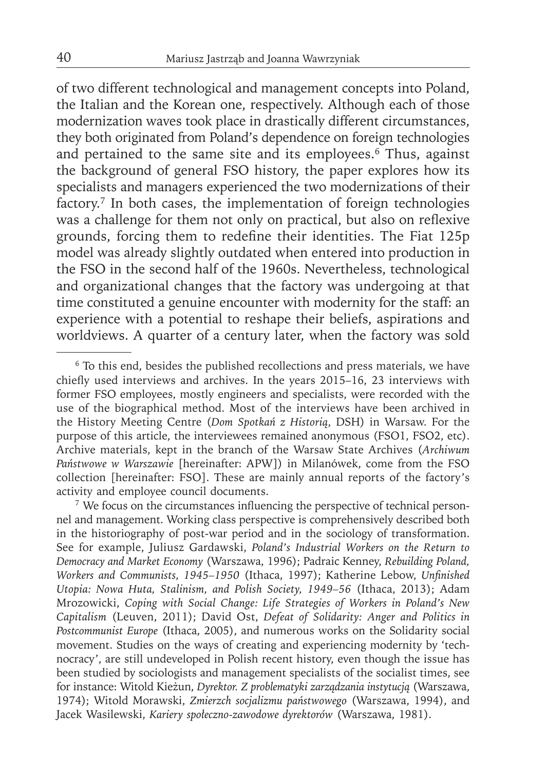of two different technological and management concepts into Poland, the Italian and the Korean one, respectively. Although each of those modernization waves took place in drastically different circumstances, they both originated from Poland's dependence on foreign technologies and pertained to the same site and its employees.<sup>6</sup> Thus, against the background of general FSO history, the paper explores how its specialists and managers experienced the two modernizations of their factory.7 In both cases, the implementation of foreign technologies was a challenge for them not only on practical, but also on reflexive grounds, forcing them to redefine their identities. The Fiat 125p model was already slightly outdated when entered into production in the FSO in the second half of the 1960s. Nevertheless, technological and organizational changes that the factory was undergoing at that time constituted a genuine encounter with modernity for the staff: an experience with a potential to reshape their beliefs, aspirations and worldviews. A quarter of a century later, when the factory was sold

<sup>7</sup> We focus on the circumstances influencing the perspective of technical personnel and management. Working class perspective is comprehensively described both in the historiography of post-war period and in the sociology of transformation. See for example, Juliusz Gardawski, *Poland's Industrial Workers on the Return to Democracy and Market Economy* (Warszawa, 1996); Padraic Kenney, *Rebuilding Poland, Workers and Communists, 1945–1950* (Ithaca, 1997); Katherine Lebow, *Unfinished Utopia: Nowa Huta, Stalinism, and Polish Society, 1949–56* (Ithaca, 2013); Adam Mrozowicki, *Coping with Social Change: Life Strategies of Workers in Poland's New Capitalism* (Leuven, 2011); David Ost, *Defeat of Solidarity: Anger and Politics in Postcommunist Europe* (Ithaca, 2005), and numerous works on the Solidarity social movement. Studies on the ways of creating and experiencing modernity by 'technocracy', are still undeveloped in Polish recent history, even though the issue has been studied by sociologists and management specialists of the socialist times, see for instance: Witold Kieżun, *Dyrektor. Z problematyki zarządzania instytucją* (Warszawa, 1974); Witold Morawski, *Zmierzch socjalizmu państwowego* (Warszawa, 1994), and Jacek Wasilewski, *Kariery społeczno-zawodowe dyrektorów* (Warszawa, 1981).

<sup>&</sup>lt;sup>6</sup> To this end, besides the published recollections and press materials, we have chiefly used interviews and archives. In the years  $2015-16$ , 23 interviews with former FSO employees, mostly engineers and specialists, were recorded with the use of the biographical method. Most of the interviews have been archived in the History Meeting Centre (*Dom Spotkań z Historią*, DSH) in Warsaw. For the purpose of this article, the interviewees remained anonymous (FSO1, FSO2, etc). Archive materials, kept in the branch of the Warsaw State Archives (*Archiwum Państwowe w Warszawie* [hereinafter: APW]) in Milanówek, come from the FSO collection [hereinafter: FSO]. These are mainly annual reports of the factory's activity and employee council documents.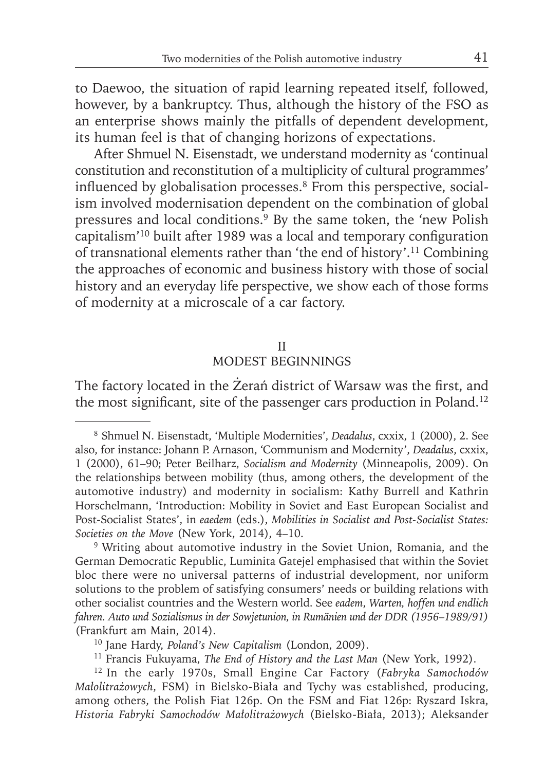to Daewoo, the situation of rapid learning repeated itself, followed, however, by a bankruptcy. Thus, although the history of the FSO as an enterprise shows mainly the pitfalls of dependent development, its human feel is that of changing horizons of expectations.

After Shmuel N. Eisenstadt, we understand modernity as 'continual constitution and reconstitution of a multiplicity of cultural programmes' influenced by globalisation processes.<sup>8</sup> From this perspective, socialism involved modernisation dependent on the combination of global pressures and local conditions.9 By the same token, the 'new Polish capitalism<sup>'10</sup> built after 1989 was a local and temporary configuration of transnational elements rather than 'the end of history'.11 Combining the approaches of economic and business history with those of social history and an everyday life perspective, we show each of those forms of modernity at a microscale of a car factory.

#### II

## MODEST BEGINNINGS

The factory located in the Żerań district of Warsaw was the first, and the most significant, site of the passenger cars production in Poland.<sup>12</sup>

<sup>8</sup> Shmuel N. Eisenstadt, 'Multiple Modernities', *Deadalus*, cxxix, 1 (2000), 2. See also, for instance: Johann P. Arnason, 'Communism and Modernity', *Deadalus*, cxxix, 1 (2000), 61-90; Peter Beilharz, *Socialism and Modernity* (Minneapolis, 2009). On the relationships between mobility (thus, among others, the development of the automotive industry) and modernity in socialism: Kathy Burrell and Kathrin Horschelmann, 'Introduction: Mobility in Soviet and East European Socialist and Post-Socialist States', in *eaedem* (eds.), *Mobilities in Socialist and Post-Socialist States: Societies on the Move* (New York, 2014), 4–10.

<sup>&</sup>lt;sup>9</sup> Writing about automotive industry in the Soviet Union, Romania, and the German Democratic Republic, Luminita Gatejel emphasised that within the Soviet bloc there were no universal patterns of industrial development, nor uniform solutions to the problem of satisfying consumers' needs or building relations with other socialist countries and the Western world. See *eadem*, *Warten, hoffen und endlich fahren. Auto und Sozialismus in der Sowjetunion, in Rumänien und der DDR (1956–1989/91)* (Frankfurt am Main, 2014).

<sup>10</sup> Jane Hardy, *Poland's New Capitalism* (London, 2009).

<sup>11</sup> Francis Fukuyama, *The End of History and the Last Man* (New York, 1992).

<sup>12</sup> In the early 1970s, Small Engine Car Factory (*Fabryka Samochodów Małolitrażowych*, FSM) in Bielsko-Biała and Tychy was established, producing, among others, the Polish Fiat 126p. On the FSM and Fiat 126p: Ryszard Iskra, *Historia Fabryki Samochodów Małolitrażowych* (Bielsko-Biała, 2013); Aleksander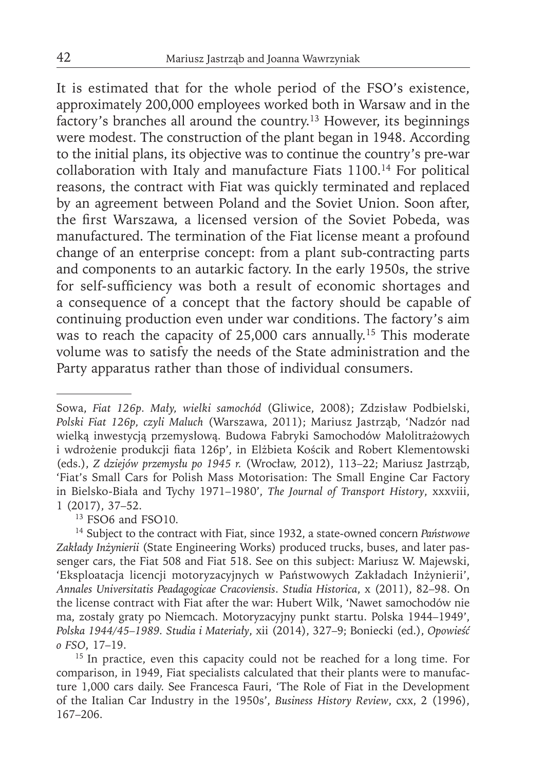It is estimated that for the whole period of the FSO's existence, approximately 200,000 employees worked both in Warsaw and in the factory's branches all around the country.13 However, its beginnings were modest. The construction of the plant began in 1948. According to the initial plans, its objective was to continue the country's pre-war collaboration with Italy and manufacture Fiats 1100.14 For political reasons, the contract with Fiat was quickly terminated and replaced by an agreement between Poland and the Soviet Union. Soon after, the first Warszawa, a licensed version of the Soviet Pobeda, was manufactured. The termination of the Fiat license meant a profound change of an enterprise concept: from a plant sub-contracting parts and components to an autarkic factory. In the early 1950s, the strive for self-sufficiency was both a result of economic shortages and a consequence of a concept that the factory should be capable of continuing production even under war conditions. The factory's aim was to reach the capacity of 25,000 cars annually.15 This moderate volume was to satisfy the needs of the State administration and the Party apparatus rather than those of individual consumers.

<sup>13</sup> FSO6 and FSO10.

<sup>15</sup> In practice, even this capacity could not be reached for a long time. For comparison, in 1949, Fiat specialists calculated that their plants were to manufacture 1,000 cars daily. See Francesca Fauri, 'The Role of Fiat in the Development of the Italian Car Industry in the 1950s', *Business History Review*, cxx, 2 (1996), 167–206.

Sowa, *Fiat 126p. Mały, wielki samochód* (Gliwice, 2008); Zdzisław Podbielski, *Polski Fiat 126p, czyli Maluch* (Warszawa, 2011); Mariusz Jastrząb, 'Nadzór nad wielką inwestycją przemysłową. Budowa Fabryki Samochodów Małolitrażowych i wdrożenie produkcji fiata 126p', in Elżbieta Kościk and Robert Klementowski (eds.), *Z dziejów przemysłu po 1945 r.* (Wrocław, 2012), 113–22; Mariusz Jastrząb, 'Fiat's Small Cars for Polish Mass Motorisation: The Small Engine Car Factory in Bielsko-Biała and Tychy 1971–1980', *The Journal of Transport History*, xxxviii, 1 (2017), 37–52.

<sup>14</sup> Subject to the contract with Fiat, since 1932, a state-owned concern *Państwowe Zakłady Inżynierii* (State Engineering Works) produced trucks, buses, and later passenger cars, the Fiat 508 and Fiat 518. See on this subject: Mariusz W. Majewski, 'Eksploatacja licencji motoryzacyjnych w Państwowych Zakładach Inżynierii', *Annales Universitatis Peadagogicae Cracoviensis*. *Studia Historica*, x (2011), 82–98. On the license contract with Fiat after the war: Hubert Wilk, 'Nawet samochodów nie ma, zostały graty po Niemcach. Motoryzacyjny punkt startu. Polska 1944–1949', *Polska 1944/45–1989. Studia i Materiały*, xii (2014), 327–9; Boniecki (ed.), *Opowieść o FSO*, 17–19.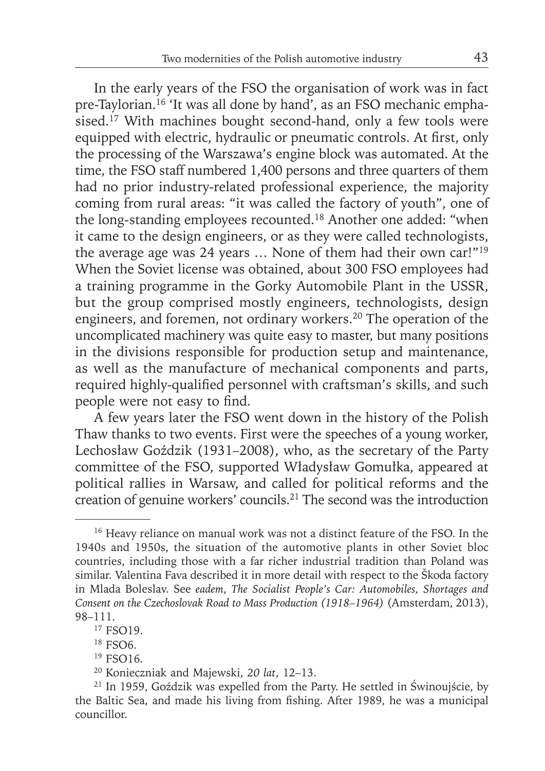In the early years of the FSO the organisation of work was in fact pre-Taylorian.<sup>16</sup> 'It was all done by hand', as an FSO mechanic emphasised.<sup>17</sup> With machines bought second-hand, only a few tools were equipped with electric, hydraulic or pneumatic controls. At first, only the processing of the Warszawa's engine block was automated. At the time, the FSO staff numbered 1,400 persons and three quarters of them had no prior industry-related professional experience, the majority coming from rural areas: "it was called the factory of youth", one of the long-standing employees recounted.18 Another one added: "when it came to the design engineers, or as they were called technologists, the average age was 24 years … None of them had their own car!"19 When the Soviet license was obtained, about 300 FSO employees had a training programme in the Gorky Automobile Plant in the USSR, but the group comprised mostly engineers, technologists, design engineers, and foremen, not ordinary workers.<sup>20</sup> The operation of the uncomplicated machinery was quite easy to master, but many positions in the divisions responsible for production setup and maintenance, as well as the manufacture of mechanical components and parts, required highly-qualified personnel with craftsman's skills, and such people were not easy to find.

A few years later the FSO went down in the history of the Polish Thaw thanks to two events. First were the speeches of a young worker, Lechosław Goździk (1931–2008), who, as the secretary of the Party committee of the FSO, supported Władysław Gomułka, appeared at political rallies in Warsaw, and called for political reforms and the creation of genuine workers' councils.21 The second was the introduction

<sup>&</sup>lt;sup>16</sup> Heavy reliance on manual work was not a distinct feature of the FSO. In the 1940s and 1950s, the situation of the automotive plants in other Soviet bloc countries, including those with a far richer industrial tradition than Poland was similar. Valentina Fava described it in more detail with respect to the Škoda factory in Mlada Boleslav. See *eadem*, *The Socialist People's Car: Automobiles, Shortages and Consent on the Czechoslovak Road to Mass Production (1918–1964)* (Amsterdam, 2013), 98–111.

<sup>&</sup>lt;sup>17</sup> FSO19.

<sup>18</sup> FSO6.

<sup>&</sup>lt;sup>19</sup> FSO<sub>16</sub>.

<sup>20</sup> Konieczniak and Majewski, *20 lat*, 12–13.

<sup>21</sup> In 1959, Goździk was expelled from the Party. He settled in Świnoujście, by the Baltic Sea, and made his living from fishing. After 1989, he was a municipal councillor.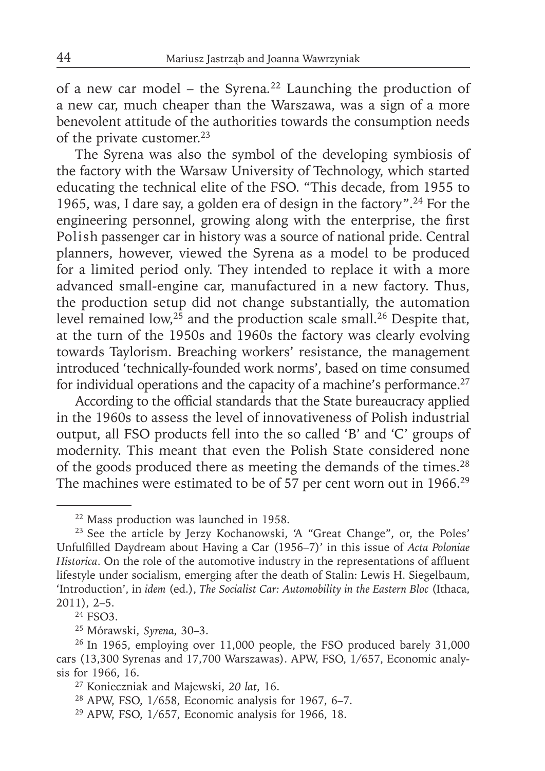of a new car model – the Syrena*.* 22 Launching the production of a new car, much cheaper than the Warszawa, was a sign of a more benevolent attitude of the authorities towards the consumption needs of the private customer.<sup>23</sup>

The Syrena was also the symbol of the developing symbiosis of the factory with the Warsaw University of Technology, which started educating the technical elite of the FSO. "This decade, from 1955 to 1965, was, I dare say, a golden era of design in the factory".24 For the engineering personnel, growing along with the enterprise, the first Polish passenger car in history was a source of national pride. Central planners, however, viewed the Syrena as a model to be produced for a limited period only. They intended to replace it with a more advanced small-engine car, manufactured in a new factory. Thus, the production setup did not change substantially, the automation level remained low,<sup>25</sup> and the production scale small.<sup>26</sup> Despite that, at the turn of the 1950s and 1960s the factory was clearly evolving towards Taylorism. Breaching workers' resistance, the management introduced 'technically-founded work norms', based on time consumed for individual operations and the capacity of a machine's performance.<sup>27</sup>

According to the official standards that the State bureaucracy applied in the 1960s to assess the level of innovativeness of Polish industrial output, all FSO products fell into the so called 'B' and 'C' groups of modernity. This meant that even the Polish State considered none of the goods produced there as meeting the demands of the times.<sup>28</sup> The machines were estimated to be of 57 per cent worn out in 1966.<sup>29</sup>

<sup>22</sup> Mass production was launched in 1958.

<sup>23</sup> See the article by Jerzy Kochanowski, 'A "Great Change", or, the Poles' Unfulfi lled Daydream about Having a Car (1956–7)' in this issue of *Acta Poloniae Historica*. On the role of the automotive industry in the representations of affluent lifestyle under socialism, emerging after the death of Stalin: Lewis H. Siegelbaum, 'Introduction', in *idem* (ed.), *The Socialist Car: Automobility in the Eastern Bloc* (Ithaca, 2011), 2–5.

<sup>24</sup> FSO3.

<sup>25</sup> Mórawski, *Syrena*, 30–3.

<sup>&</sup>lt;sup>26</sup> In 1965, employing over 11,000 people, the FSO produced barely 31,000 cars (13,300 Syrenas and 17,700 Warszawas). APW, FSO, 1/657, Economic analysis for 1966, 16.

<sup>27</sup> Konieczniak and Majewski, *20 lat*, 16.

<sup>28</sup> APW, FSO, 1/658, Economic analysis for 1967, 6–7.

<sup>29</sup> APW, FSO, 1/657, Economic analysis for 1966, 18.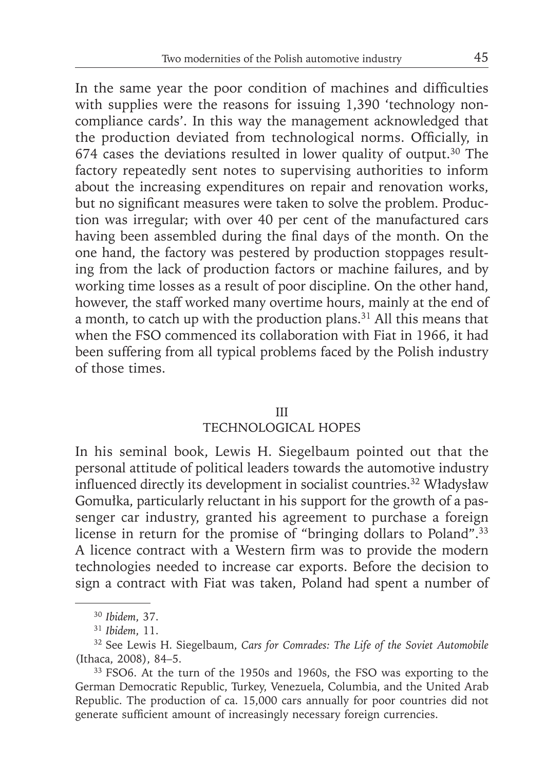In the same year the poor condition of machines and difficulties with supplies were the reasons for issuing 1,390 'technology noncompliance cards'. In this way the management acknowledged that the production deviated from technological norms. Officially, in 674 cases the deviations resulted in lower quality of output.30 The factory repeatedly sent notes to supervising authorities to inform about the increasing expenditures on repair and renovation works, but no significant measures were taken to solve the problem. Production was irregular; with over 40 per cent of the manufactured cars having been assembled during the final days of the month. On the one hand, the factory was pestered by production stoppages resulting from the lack of production factors or machine failures, and by working time losses as a result of poor discipline. On the other hand, however, the staff worked many overtime hours, mainly at the end of a month, to catch up with the production plans.<sup>31</sup> All this means that when the FSO commenced its collaboration with Fiat in 1966, it had been suffering from all typical problems faced by the Polish industry of those times.

## III

# TECHNOLOGICAL HOPES

In his seminal book, Lewis H. Siegelbaum pointed out that the personal attitude of political leaders towards the automotive industry influenced directly its development in socialist countries.<sup>32</sup> Władysław Gomułka, particularly reluctant in his support for the growth of a passenger car industry, granted his agreement to purchase a foreign license in return for the promise of "bringing dollars to Poland".<sup>33</sup> A licence contract with a Western firm was to provide the modern technologies needed to increase car exports. Before the decision to sign a contract with Fiat was taken, Poland had spent a number of

<sup>30</sup>*Ibidem*, 37.

<sup>31</sup>*Ibidem*, 11.

<sup>32</sup> See Lewis H. Siegelbaum, *Cars for Comrades: The Life of the Soviet Automobile* (Ithaca, 2008), 84–5.

<sup>&</sup>lt;sup>33</sup> FSO6. At the turn of the 1950s and 1960s, the FSO was exporting to the German Democratic Republic, Turkey, Venezuela, Columbia, and the United Arab Republic. The production of ca. 15,000 cars annually for poor countries did not generate sufficient amount of increasingly necessary foreign currencies.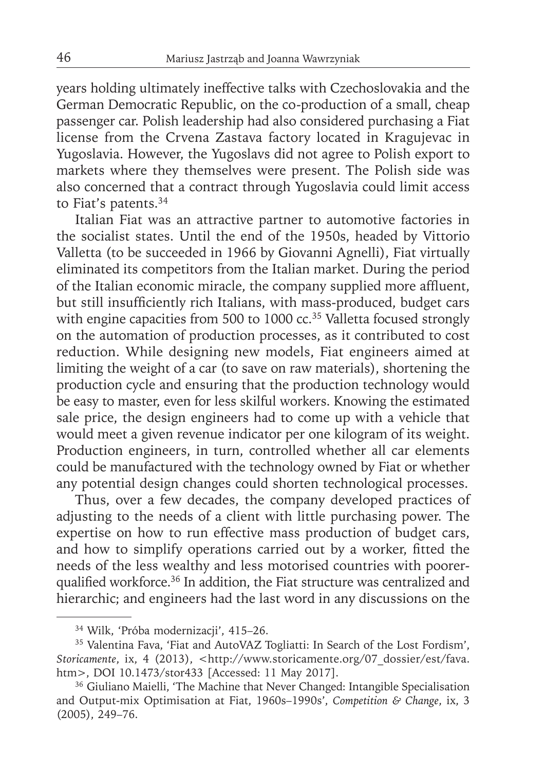years holding ultimately ineffective talks with Czechoslovakia and the German Democratic Republic, on the co-production of a small, cheap passenger car. Polish leadership had also considered purchasing a Fiat license from the Crvena Zastava factory located in Kragujevac in Yugoslavia. However, the Yugoslavs did not agree to Polish export to markets where they themselves were present. The Polish side was also concerned that a contract through Yugoslavia could limit access to Fiat's patents.<sup>34</sup>

Italian Fiat was an attractive partner to automotive factories in the socialist states. Until the end of the 1950s, headed by Vittorio Valletta (to be succeeded in 1966 by Giovanni Agnelli), Fiat virtually eliminated its competitors from the Italian market. During the period of the Italian economic miracle, the company supplied more affluent, but still insufficiently rich Italians, with mass-produced, budget cars with engine capacities from 500 to 1000 cc.<sup>35</sup> Valletta focused strongly on the automation of production processes, as it contributed to cost reduction. While designing new models, Fiat engineers aimed at limiting the weight of a car (to save on raw materials), shortening the production cycle and ensuring that the production technology would be easy to master, even for less skilful workers. Knowing the estimated sale price, the design engineers had to come up with a vehicle that would meet a given revenue indicator per one kilogram of its weight. Production engineers, in turn, controlled whether all car elements could be manufactured with the technology owned by Fiat or whether any potential design changes could shorten technological processes.

Thus, over a few decades, the company developed practices of adjusting to the needs of a client with little purchasing power. The expertise on how to run effective mass production of budget cars, and how to simplify operations carried out by a worker, fitted the needs of the less wealthy and less motorised countries with poorerqualified workforce.<sup>36</sup> In addition, the Fiat structure was centralized and hierarchic; and engineers had the last word in any discussions on the

<sup>34</sup> Wilk, 'Próba modernizacji', 415–26.

<sup>35</sup> Valentina Fava, 'Fiat and AutoVAZ Togliatti: In Search of the Lost Fordism', Storicamente, ix, 4 (2013), <http://www.storicamente.org/07\_dossier/est/fava. htm>, DOI 10.1473/stor433 [Accessed: 11 May 2017].

<sup>36</sup> Giuliano Maielli, 'The Machine that Never Changed: Intangible Specialisation and Output-mix Optimisation at Fiat, 1960s–1990s', *Competition & Change*, ix, 3 (2005), 249–76.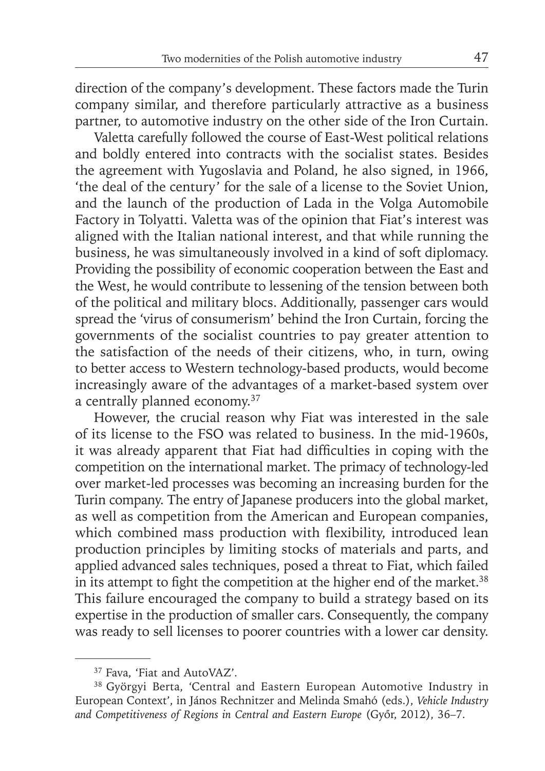direction of the company's development. These factors made the Turin company similar, and therefore particularly attractive as a business partner, to automotive industry on the other side of the Iron Curtain.

Valetta carefully followed the course of East-West political relations and boldly entered into contracts with the socialist states. Besides the agreement with Yugoslavia and Poland, he also signed, in 1966, 'the deal of the century' for the sale of a license to the Soviet Union, and the launch of the production of Lada in the Volga Automobile Factory in Tolyatti. Valetta was of the opinion that Fiat's interest was aligned with the Italian national interest, and that while running the business, he was simultaneously involved in a kind of soft diplomacy. Providing the possibility of economic cooperation between the East and the West, he would contribute to lessening of the tension between both of the political and military blocs. Additionally, passenger cars would spread the 'virus of consumerism' behind the Iron Curtain, forcing the governments of the socialist countries to pay greater attention to the satisfaction of the needs of their citizens, who, in turn, owing to better access to Western technology-based products, would become increasingly aware of the advantages of a market-based system over a centrally planned economy.37

However, the crucial reason why Fiat was interested in the sale of its license to the FSO was related to business. In the mid-1960s, it was already apparent that Fiat had difficulties in coping with the competition on the international market. The primacy of technology-led over market-led processes was becoming an increasing burden for the Turin company. The entry of Japanese producers into the global market, as well as competition from the American and European companies, which combined mass production with flexibility, introduced lean production principles by limiting stocks of materials and parts, and applied advanced sales techniques, posed a threat to Fiat, which failed in its attempt to fight the competition at the higher end of the market.<sup>38</sup> This failure encouraged the company to build a strategy based on its expertise in the production of smaller cars. Consequently, the company was ready to sell licenses to poorer countries with a lower car density.

<sup>37</sup> Fava, 'Fiat and AutoVAZ'.

<sup>38</sup> Györgyi Berta, 'Central and Eastern European Automotive Industry in European Context', in János Rechnitzer and Melinda Smahó (eds.), *Vehicle Industry and Competitiveness of Regions in Central and Eastern Europe* (Győr, 2012), 36–7.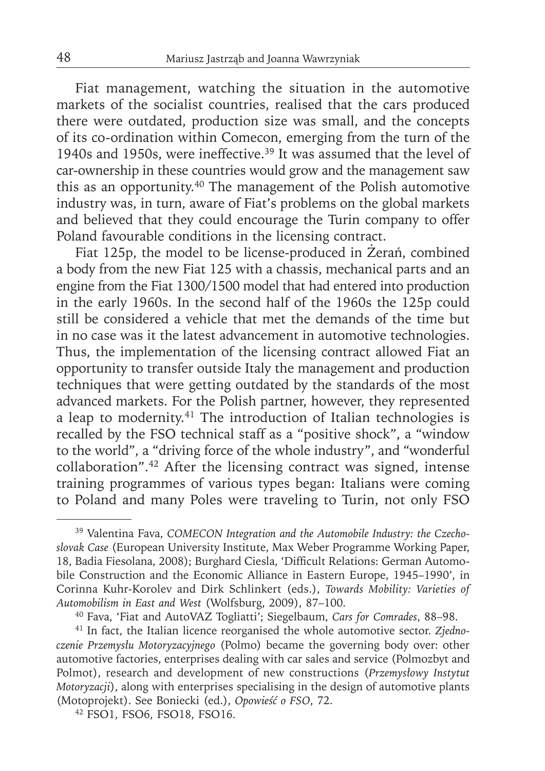Fiat management, watching the situation in the automotive markets of the socialist countries, realised that the cars produced there were outdated, production size was small, and the concepts of its co-ordination within Comecon, emerging from the turn of the 1940s and 1950s, were ineffective.39 It was assumed that the level of car-ownership in these countries would grow and the management saw this as an opportunity.40 The management of the Polish automotive industry was, in turn, aware of Fiat's problems on the global markets and believed that they could encourage the Turin company to offer Poland favourable conditions in the licensing contract.

Fiat 125p, the model to be license-produced in Żerań, combined a body from the new Fiat 125 with a chassis, mechanical parts and an engine from the Fiat 1300/1500 model that had entered into production in the early 1960s. In the second half of the 1960s the 125p could still be considered a vehicle that met the demands of the time but in no case was it the latest advancement in automotive technologies. Thus, the implementation of the licensing contract allowed Fiat an opportunity to transfer outside Italy the management and production techniques that were getting outdated by the standards of the most advanced markets. For the Polish partner, however, they represented a leap to modernity.41 The introduction of Italian technologies is recalled by the FSO technical staff as a "positive shock", a "window to the world", a "driving force of the whole industry", and "wonderful collaboration".42 After the licensing contract was signed, intense training programmes of various types began: Italians were coming to Poland and many Poles were traveling to Turin, not only FSO

<sup>39</sup> Valentina Fava, *COMECON Integration and the Automobile Industry: the Czechoslovak Case* (European University Institute, Max Weber Programme Working Paper, 18, Badia Fiesolana, 2008); Burghard Ciesla, 'Difficult Relations: German Automobile Construction and the Economic Alliance in Eastern Europe, 1945–1990', in Cor inna Kuhr-Korolev and Dirk Schlinkert (eds.), *Towards Mobility: Varieties of Automobilism in East and West* (Wolfsburg, 2009), 87–100.

<sup>&</sup>lt;sup>40</sup> Fava, 'Fiat and AutoVAZ Togliatti'; Siegelbaum, Cars for Comrades, 88-98.

<sup>41</sup> In fact, the Italian licence reorganised the whole automotive sector. *Zjednoczenie Przemysłu Motoryzacyjnego* (Polmo) became the governing body over: other automotive factories, enterprises dealing with car sales and service (Polmozbyt and Polmot), research and development of new constructions (*Przemysłowy Instytut Motoryzacji*), along with enterprises specialising in the design of automotive plants (Motoprojekt). See Boniecki (ed.), *Opowieść o FSO*, 72.

<sup>42</sup> FSO1, FSO6, FSO18, FSO16.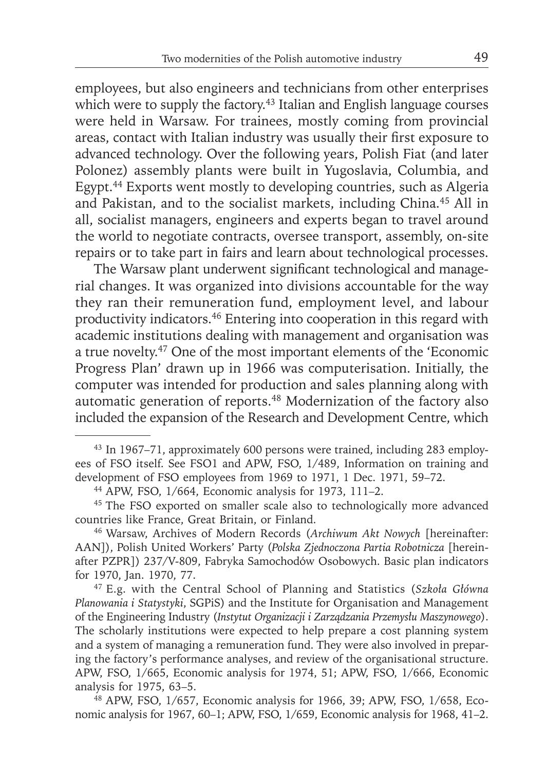employees, but also engineers and technicians from other enterprises which were to supply the factory.<sup>43</sup> Italian and English language courses were held in Warsaw. For trainees, mostly coming from provincial areas, contact with Italian industry was usually their first exposure to advanced technology. Over the following years, Polish Fiat (and later Polonez) assembly plants were built in Yugoslavia, Columbia, and Egypt.44 Exports went mostly to developing countries, such as Algeria and Pakistan, and to the socialist markets, including China.45 All in all, socialist managers, engineers and experts began to travel around the world to negotiate contracts, oversee transport, assembly, on-site repairs or to take part in fairs and learn about technological processes.

The Warsaw plant underwent significant technological and managerial changes. It was organized into divisions accountable for the way they ran their remuneration fund, employment level, and labour productivity indicators.46 Entering into cooperation in this regard with academic institutions dealing with management and organisation was a true novelty.47 One of the most important elements of the 'Economic Progress Plan' drawn up in 1966 was computerisation. Initially, the computer was intended for production and sales planning along with automatic generation of reports.48 Modernization of the factory also included the expansion of the Research and Development Centre, which

<sup>43</sup> In 1967–71, approximately 600 persons were trained, including 283 employees of FSO itself. See FSO1 and APW, FSO, 1/489, Information on training and development of FSO employees from 1969 to 1971, 1 Dec. 1971, 59–72.

<sup>44</sup> APW, FSO, 1/664, Economic analysis for 1973, 111–2.

<sup>&</sup>lt;sup>45</sup> The FSO exported on smaller scale also to technologically more advanced countries like France, Great Britain, or Finland.

<sup>46</sup> Warsaw, Archives of Modern Records (*Archiwum Akt Nowych* [hereinafter: AAN]), Polish United Workers' Party (*Polska Zjednoczona Partia Robotnicza* [hereinafter PZPR]) 237/V-809, Fabryka Samochodów Osobowych. Basic plan indicators for 1970, Jan. 1970, 77.

<sup>47</sup> E.g. with the Central School of Planning and Statistics (*Szkoła Główna Planowania i Statystyki*, SGPiS) and the Institute for Organisation and Management of the Engineering Industry (*Instytut Organizacji i Zarządzania Przemysłu Maszynowego*). The scholarly institutions were expected to help prepare a cost planning system and a system of managing a remuneration fund. They were also involved in preparing the factory's performance analyses, and review of the organisational structure. APW, FSO, 1/665, Economic analysis for 1974, 51; APW, FSO, 1/666, Economic analysis for 1975, 63–5.

<sup>48</sup> APW, FSO, 1/657, Economic analysis for 1966, 39; APW, FSO, 1/658, Economic analysis for 1967, 60–1; APW, FSO, 1/659, Economic analysis for 1968, 41–2.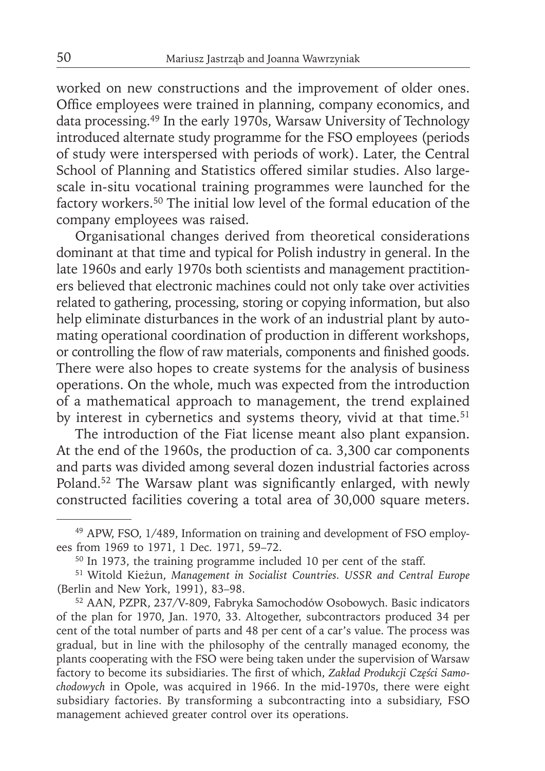worked on new constructions and the improvement of older ones. Office employees were trained in planning, company economics, and data processing.49 In the early 1970s, Warsaw University of Technology introduced alternate study programme for the FSO employees (periods of study were interspersed with periods of work). Later, the Central School of Planning and Statistics offered similar studies. Also largescale in-situ vocational training programmes were launched for the factory workers.50 The initial low level of the formal education of the company employees was raised.

Organisational changes derived from theoretical considerations dominant at that time and typical for Polish industry in general. In the late 1960s and early 1970s both scientists and management practitioners believed that electronic machines could not only take over activities related to gathering, processing, storing or copying information, but also help eliminate disturbances in the work of an industrial plant by automating operational coordination of production in different workshops, or controlling the flow of raw materials, components and finished goods. There were also hopes to create systems for the analysis of business operations. On the whole, much was expected from the introduction of a mathematical approach to management, the trend explained by interest in cybernetics and systems theory, vivid at that time.<sup>51</sup>

The introduction of the Fiat license meant also plant expansion. At the end of the 1960s, the production of ca. 3,300 car components and parts was divided among several dozen industrial factories across Poland.<sup>52</sup> The Warsaw plant was significantly enlarged, with newly constructed facilities covering a total area of 30,000 square meters.

52 AAN, PZPR, 237/V-809, Fabryka Samochodów Osobowych. Basic indicators of the plan for 1970, Jan. 1970, 33. Altogether, subcontractors produced 34 per cent of the total number of parts and 48 per cent of a car's value. The process was gradual, but in line with the philosophy of the centrally managed economy, the plants cooperating with the FSO were being taken under the supervision of Warsaw factory to become its subsidiaries. The first of which, Zakład Produkcji Części Samo*chodowych* in Opole, was acquired in 1966. In the mid-1970s, there were eight subsidiary factories. By transforming a subcontracting into a subsidiary, FSO management achieved greater control over its operations.

<sup>49</sup> APW, FSO, 1/489, Information on training and development of FSO employees from 1969 to 1971, 1 Dec. 1971, 59–72.

<sup>50</sup> In 1973, the training programme included 10 per cent of the staff.

<sup>51</sup> Witold Kieżun, *Management in Socialist Countries. USSR and Central Europe* (Berlin and New York, 1991), 83–98.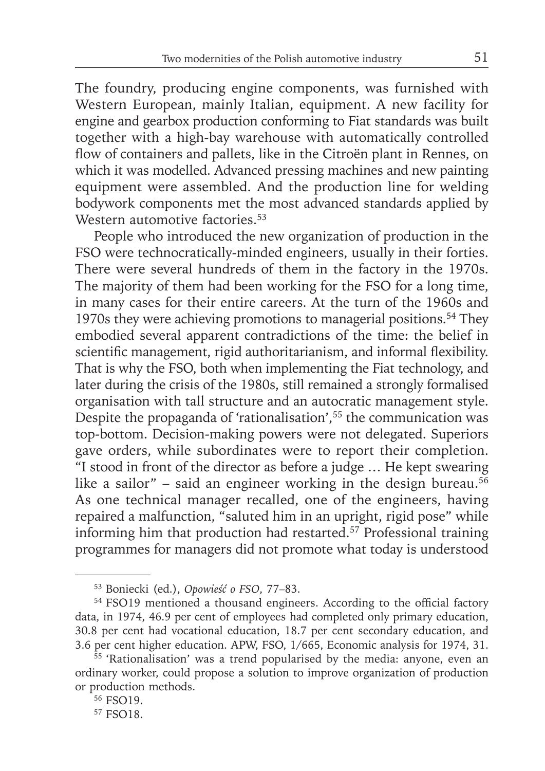The foundry, producing engine components, was furnished with Western European, mainly Italian, equipment. A new facility for engine and gearbox production conforming to Fiat standards was built together with a high-bay warehouse with automatically controlled flow of containers and pallets, like in the Citroën plant in Rennes, on which it was modelled. Advanced pressing machines and new painting equipment were assembled. And the production line for welding bodywork components met the most advanced standards applied by Western automotive factories.<sup>53</sup>

People who introduced the new organization of production in the FSO were technocratically-minded engineers, usually in their forties. There were several hundreds of them in the factory in the 1970s. The majority of them had been working for the FSO for a long time, in many cases for their entire careers. At the turn of the 1960s and 1970s they were achieving promotions to managerial positions.54 They embodied several apparent contradictions of the time: the belief in scientific management, rigid authoritarianism, and informal flexibility. That is why the FSO, both when implementing the Fiat technology, and later during the crisis of the 1980s, still remained a strongly formalised organisation with tall structure and an autocratic management style. Despite the propaganda of 'rationalisation',<sup>55</sup> the communication was top-bottom. Decision-making powers were not delegated. Superiors gave orders, while subordinates were to report their completion.  $\frac{1}{1}$  stood in front of the director as before a judge ... He kept swearing like a sailor" – said an engineer working in the design bureau.<sup>56</sup> As one technical manager recalled, one of the engineers, having repaired a malfunction, "saluted him in an upright, rigid pose" while informing him that production had restarted.57 Professional training programmes for managers did not promote what today is understood

<sup>53</sup> Boniecki (ed.), *Opowieść o FSO*, 77–83.

<sup>&</sup>lt;sup>54</sup> FSO19 mentioned a thousand engineers. According to the official factory data, in 1974, 46.9 per cent of employees had completed only primary education, 30.8 per cent had vocational education, 18.7 per cent secondary education, and 3.6 per cent higher education. APW, FSO, 1/665, Economic analysis for 1974, 31.

<sup>55 &#</sup>x27;Rationalisation' was a trend popularised by the media: anyone, even an ordinary worker, could propose a solution to improve organization of production or production methods.

<sup>&</sup>lt;sup>56</sup> FSO19.

<sup>57</sup> FSO18.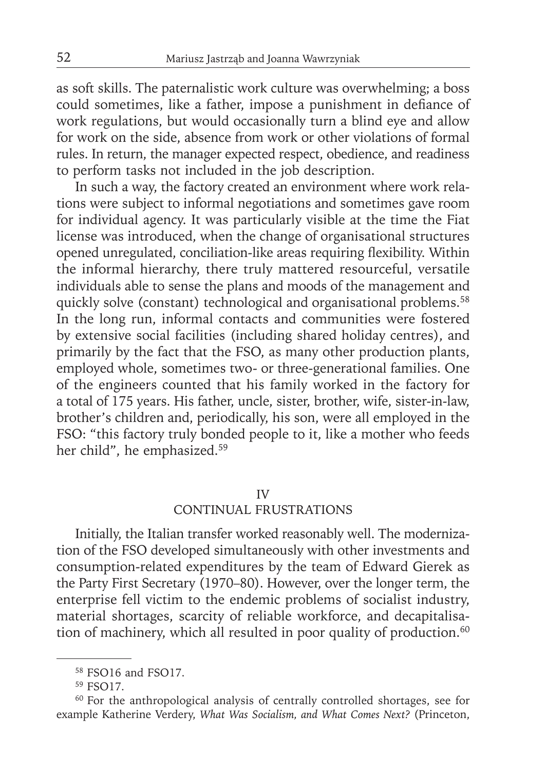as soft skills. The paternalistic work culture was overwhelming; a boss could sometimes, like a father, impose a punishment in defiance of work regulations, but would occasionally turn a blind eye and allow for work on the side, absence from work or other violations of formal rules. In return, the manager expected respect, obedience, and readiness to perform tasks not included in the job description.

In such a way, the factory created an environment where work relations were subject to informal negotiations and sometimes gave room for individual agency. It was particularly visible at the time the Fiat license was introduced, when the change of organisational structures opened unregulated, conciliation-like areas requiring flexibility. Within the informal hierarchy, there truly mattered resourceful, versatile individuals able to sense the plans and moods of the management and quickly solve (constant) technological and organisational problems.<sup>58</sup> In the long run, informal contacts and communities were fostered by extensive social facilities (including shared holiday centres), and primarily by the fact that the FSO, as many other production plants, employed whole, sometimes two- or three-generational families. One of the engineers counted that his family worked in the factory for a total of 175 years. His father, uncle, sister, brother, wife, sister-in-law, brother's children and, periodically, his son, were all employed in the FSO: "this factory truly bonded people to it, like a mother who feeds her child", he emphasized.59

## IV

## CONTINUAL FRUSTRATIONS

Initially, the Italian transfer worked reasonably well. The modernization of the FSO developed simultaneously with other investments and consumption-related expenditures by the team of Edward Gierek as the Party First Secretary (1970–80). However, over the longer term, the enterprise fell victim to the endemic problems of socialist industry, material shortages, scarcity of reliable workforce, and decapitalisation of machinery, which all resulted in poor quality of production.<sup>60</sup>

<sup>58</sup> FSO16 and FSO17.

<sup>59</sup> FSO17.

<sup>60</sup> For the anthropological analysis of centrally controlled shortages, see for example Katherine Verdery, *What Was Socialism, and What Comes Next?* (Princeton,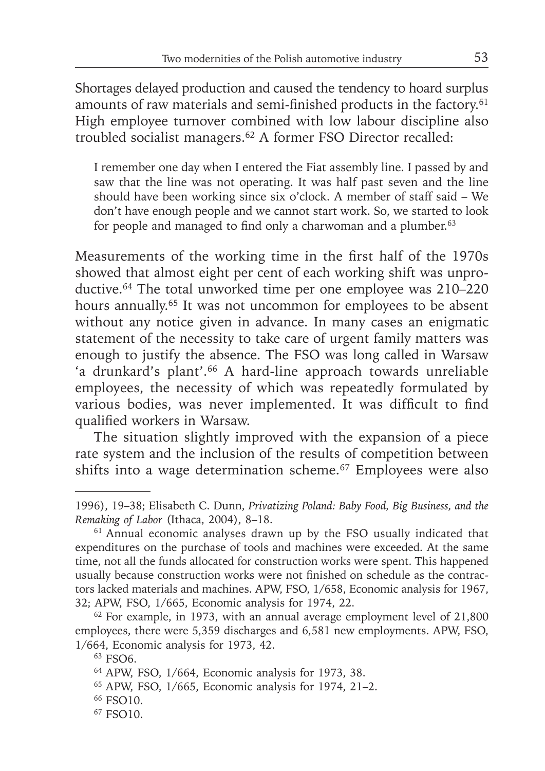Shortages delayed production and caused the tendency to hoard surplus amounts of raw materials and semi-finished products in the factory.<sup>61</sup> High employee turnover combined with low labour discipline also troubled socialist managers.<sup>62</sup> A former FSO Director recalled:

I remember one day when I entered the Fiat assembly line. I passed by and saw that the line was not operating. It was half past seven and the line should have been working since six o'clock. A member of staff said – We don't have enough people and we cannot start work. So, we started to look for people and managed to find only a charwoman and a plumber. $63$ 

Measurements of the working time in the first half of the 1970s showed that almost eight per cent of each working shift was unproductive.64 The total unworked time per one employee was 210–220 hours annually.<sup>65</sup> It was not uncommon for employees to be absent without any notice given in advance. In many cases an enigmatic statement of the necessity to take care of urgent family matters was enough to justify the absence. The FSO was long called in Warsaw 'a drunkard's plant'.<sup>66</sup> A hard-line approach towards unreliable employees, the necessity of which was repeatedly formulated by various bodies, was never implemented. It was difficult to find qualified workers in Warsaw.

The situation slightly improved with the expansion of a piece rate system and the inclusion of the results of competition between shifts into a wage determination scheme.67 Employees were also

<sup>1996 ), 19–38;</sup> Elisabeth C. Dunn, *Privatizing Poland: Baby Food, Big Business, and the Remaking of Labor* (Ithaca, 2004), 8–18.

<sup>61</sup> Annual economic analyses drawn up by the FSO usually indicated that expenditures on the purchase of tools and machines were exceeded. At the same time, not all the funds allocated for construction works were spent. This happened usually because construction works were not finished on schedule as the contractors lacked materials and machines. APW, FSO, 1/658, Economic analysis for 1967, 32; APW, FSO, 1/665, Economic analysis for 1974, 22.

<sup>62</sup> For example, in 1973, with an annual average employment level of 21,800 employees, there were 5,359 discharges and 6,581 new employments. APW, FSO, 1/664, Economic analysis for 1973, 42.

<sup>63</sup> FSO6.

<sup>64</sup> APW, FSO, 1/664, Economic analysis for 1973, 38.

<sup>65</sup> APW, FSO, 1/665, Economic analysis for 1974, 21–2.

<sup>66</sup> FSO10.

<sup>67</sup> FSO10.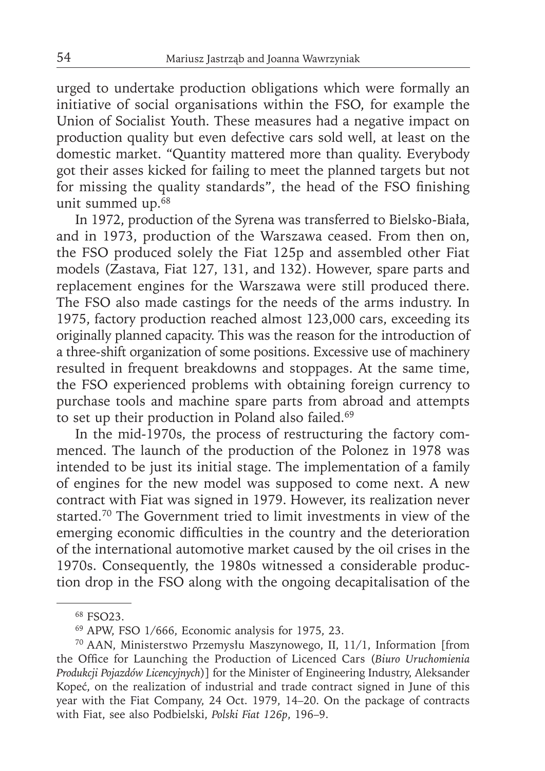urged to undertake production obligations which were formally an initiative of social organisations within the FSO, for example the Union of Socialist Youth. These measures had a negative impact on production quality but even defective cars sold well, at least on the domestic market. "Quantity mattered more than quality. Everybody got their asses kicked for failing to meet the planned targets but not for missing the quality standards", the head of the FSO finishing unit summed up.68

In 1972, production of the Syrena was transferred to Bielsko-Biała, and in 1973, production of the Warszawa ceased. From then on, the FSO produced solely the Fiat 125p and assembled other Fiat models (Zastava, Fiat 127, 131, and 132). However, spare parts and replacement engines for the Warszawa were still produced there. The FSO also made castings for the needs of the arms industry. In 1975, factory production reached almost 123,000 cars, exceeding its originally planned capacity. This was the reason for the introduction of a three-shift organization of some positions. Excessive use of machinery resulted in frequent breakdowns and stoppages. At the same time, the FSO experienced problems with obtaining foreign currency to purchase tools and machine spare parts from abroad and attempts to set up their production in Poland also failed.<sup>69</sup>

In the mid-1970s, the process of restructuring the factory commenced. The launch of the production of the Polonez in 1978 was intended to be just its initial stage. The implementation of a family of engines for the new model was supposed to come next. A new contract with Fiat was signed in 1979. However, its realization never started.<sup>70</sup> The Government tried to limit investments in view of the emerging economic difficulties in the country and the deterioration of the international automotive market caused by the oil crises in the 1970s. Consequently, the 1980s witnessed a considerable production drop in the FSO along with the ongoing decapitalisation of the

<sup>68</sup> FSO23.

<sup>69</sup> APW, FSO 1/666, Economic analysis for 1975, 23.

<sup>70</sup> AAN, Ministerstwo Przemysłu Maszynowego, II, 11/1, Information [from the Office for Launching the Production of Licenced Cars (*Biuro Uruchomienia Produkcji Pojazdów Licencyjnych*)] for the Minister of Engineering Industry, Aleksander Kopeć, on the realization of industrial and trade contract signed in June of this year with the Fiat Company, 24 Oct. 1979, 14–20. On the package of contracts with Fiat, see also Podbielski, *Polski Fiat 126p*, 196–9.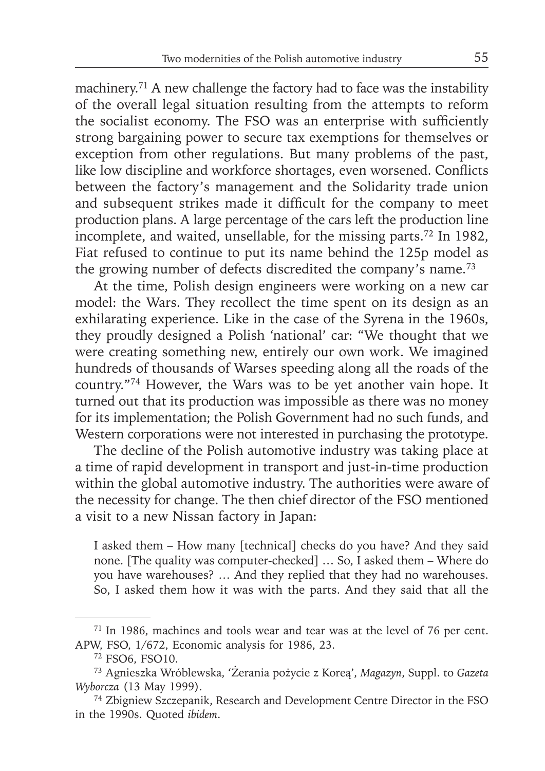machinery.<sup>71</sup> A new challenge the factory had to face was the instability of the overall legal situation resulting from the attempts to reform the socialist economy. The FSO was an enterprise with sufficiently strong bargaining power to secure tax exemptions for themselves or exception from other regulations. But many problems of the past, like low discipline and workforce shortages, even worsened. Conflicts between the factory's management and the Solidarity trade union and subsequent strikes made it difficult for the company to meet production plans. A large percentage of the cars left the production line incomplete, and waited, unsellable, for the missing parts.72 In 1982, Fiat refused to continue to put its name behind the 125p model as the growing number of defects discredited the company's name.<sup>73</sup>

At the time, Polish design engineers were working on a new car model: the Wars. They recollect the time spent on its design as an exhilarating experience. Like in the case of the Syrena in the 1960s, they proudly designed a Polish 'national' car: "We thought that we were creating something new, entirely our own work. We imagined hundreds of thousands of Warses speeding along all the roads of the country."74 However, the Wars was to be yet another vain hope. It turned out that its production was impossible as there was no money for its implementation; the Polish Government had no such funds, and Western corporations were not interested in purchasing the prototype.

The decline of the Polish automotive industry was taking place at a time of rapid development in transport and just-in-time production within the global automotive industry. The authorities were aware of the necessity for change. The then chief director of the FSO mentioned a visit to a new Nissan factory in Japan:

I asked them – How many [technical] checks do you have? And they said none. [The quality was computer-checked] … So, I asked them – Where do you have warehouses? … And they replied that they had no warehouses. So, I asked them how it was with the parts. And they said that all the

<sup>71</sup> In 1986, machines and tools wear and tear was at the level of 76 per cent. APW, FSO, 1/672, Economic analysis for 1986, 23.

<sup>72</sup> FSO6, FSO10.

<sup>73</sup> Agnieszka Wróblewska, 'Żerania pożycie z Koreą', *Magazyn*, Suppl. to *Gazeta Wyborcza* (13 May 1999).

<sup>74</sup> Zbigniew Szczepanik, Research and Development Centre Director in the FSO in the 1990s. Quoted *ibidem*.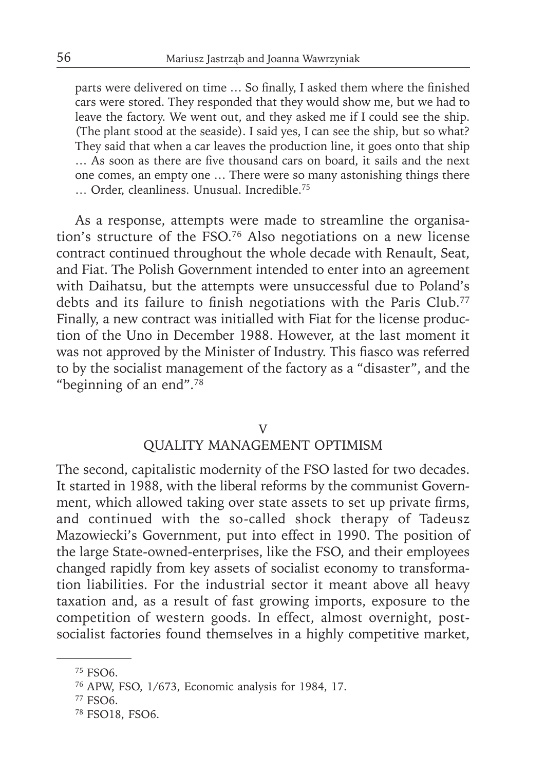parts were delivered on time ... So finally, I asked them where the finished cars were stored. They responded that they would show me, but we had to leave the factory. We went out, and they asked me if I could see the ship. (The plant stood at the seaside). I said yes, I can see the ship, but so what? They said that when a car leaves the production line, it goes onto that ship ... As soon as there are five thousand cars on board, it sails and the next one comes, an empty one … There were so many astonishing things there … Order, cleanliness. Unusual. Incredible.75

As a response, attempts were made to streamline the organisation's structure of the FSO.76 Also negotiations on a new license contract continued throughout the whole decade with Renault, Seat, and Fiat. The Polish Government intended to enter into an agreement with Daihatsu, but the attempts were unsuccessful due to Poland's debts and its failure to finish negotiations with the Paris Club.<sup>77</sup> Finally, a new contract was initialled with Fiat for the license production of the Uno in December 1988. However, at the last moment it was not approved by the Minister of Industry. This fiasco was referred to by the socialist management of the factory as a "disaster", and the "beginning of an end".78

## V

# QUALITY MANAGEMENT OPTIMISM

The second, capitalistic modernity of the FSO lasted for two decades. It started in 1988, with the liberal reforms by the communist Government, which allowed taking over state assets to set up private firms, and continued with the so-called shock therapy of Tadeusz Mazowiecki's Government, put into effect in 1990. The position of the large State-owned-enterprises, like the FSO, and their employees changed rapidly from key assets of socialist economy to transformation liabilities. For the industrial sector it meant above all heavy taxation and, as a result of fast growing imports, exposure to the competition of western goods. In effect, almost overnight, postsocialist factories found themselves in a highly competitive market,

<sup>75</sup> FSO6.

<sup>76</sup> APW, FSO, 1/673, Economic analysis for 1984, 17.

<sup>77</sup> FSO6.

<sup>78</sup> FSO18, FSO6.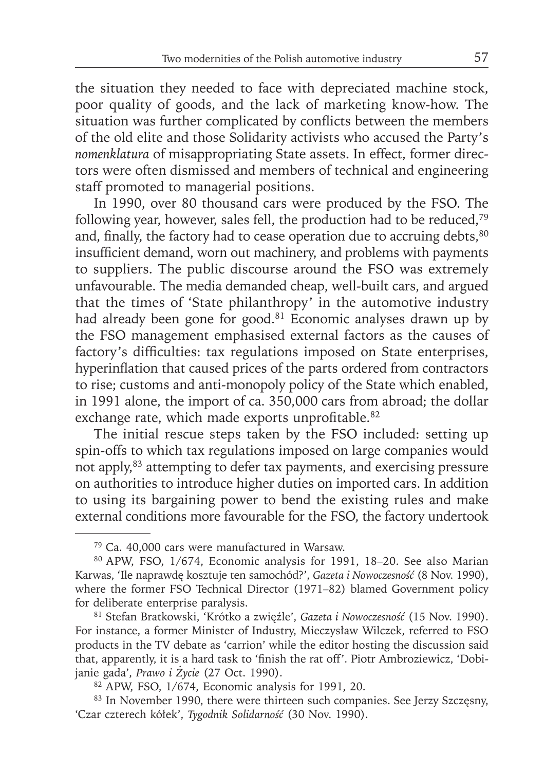the situation they needed to face with depreciated machine stock, poor quality of goods, and the lack of marketing know-how. The situation was further complicated by conflicts between the members of the old elite and those Solidarity activists who accused the Party's *nomenklatura* of misappropriating State assets. In effect, former directors were often dismissed and members of technical and engineering staff promoted to managerial positions.

In 1990, over 80 thousand cars were produced by the FSO. The following year, however, sales fell, the production had to be reduced,79 and, finally, the factory had to cease operation due to accruing debts, $80$ insufficient demand, worn out machinery, and problems with payments to suppliers. The public discourse around the FSO was extremely unfavourable. The media demanded cheap, well-built cars, and argued that the times of 'State philanthropy' in the automotive industry had already been gone for good.<sup>81</sup> Economic analyses drawn up by the FSO management emphasised external factors as the causes of factory's difficulties: tax regulations imposed on State enterprises, hyperinflation that caused prices of the parts ordered from contractors to rise; customs and anti-monopoly policy of the State which enabled, in 1991 alone, the import of ca. 350,000 cars from abroad; the dollar exchange rate, which made exports unprofitable.<sup>82</sup>

The initial rescue steps taken by the FSO included: setting up spin-offs to which tax regulations imposed on large companies would not apply,<sup>83</sup> attempting to defer tax payments, and exercising pressure on authorities to introduce higher duties on imported cars. In addition to using its bargaining power to bend the existing rules and make external conditions more favourable for the FSO, the factory undertook

<sup>79</sup> Ca. 40,000 cars were manufactured in Warsaw.

<sup>80</sup> APW, FSO, 1/674, Economic analysis for 1991, 18–20. See also Marian Karwas, 'Ile naprawdę kosztuje ten samochód?', *Gazeta i Nowoczesność* (8 Nov. 1990), where the former FSO Technical Director (1971–82) blamed Government policy for deliberate enterprise paralysis.

<sup>81</sup> Stefan Bratkowski, 'Krótko a zwięźle', *Gazeta i Nowoczesność* (15 Nov. 1990). For instance, a former Minister of Industry, Mieczysław Wilczek, referred to FSO products in the TV debate as 'carrion' while the editor hosting the discussion said that, apparently, it is a hard task to 'finish the rat off'. Piotr Ambroziewicz, 'Dobijanie gada', *Prawo i Życie* (27 Oct. 1990).

<sup>82</sup> APW, FSO, 1/674, Economic analysis for 1991, 20.

<sup>83</sup> In November 1990, there were thirteen such companies. See Jerzy Szczęsny, 'Czar czterech kółek', *Tygodnik Solidarność* (30 Nov. 1990).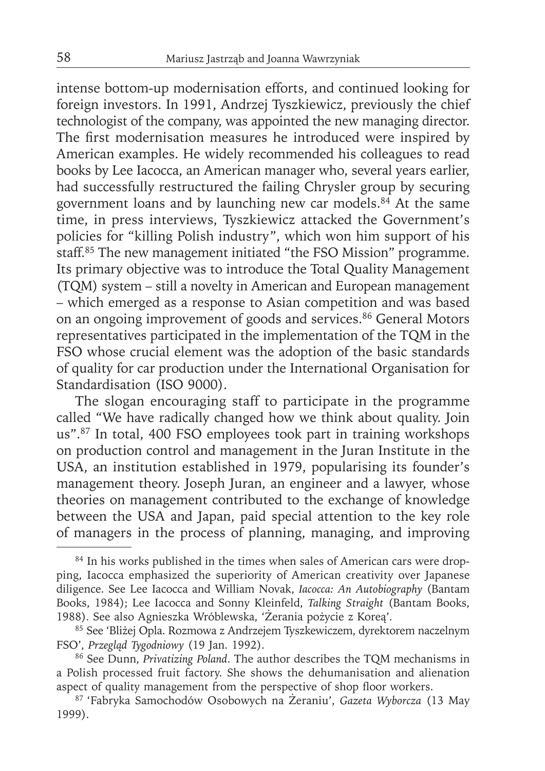intense bottom-up modernisation efforts, and continued looking for foreign investors. In 1991, Andrzej Tyszkiewicz, previously the chief technologist of the company, was appointed the new managing director. The first modernisation measures he introduced were inspired by American examples. He widely recommended his colleagues to read books by Lee Iacocca, an American manager who, several years earlier, had successfully restructured the failing Chrysler group by securing government loans and by launching new car models.84 At the same time, in press interviews, Tyszkiewicz attacked the Government's policies for "killing Polish industry", which won him support of his staff.<sup>85</sup> The new management initiated "the FSO Mission" programme. Its primary objective was to introduce the Total Quality Management (TQM) system – still a novelty in American and European management – which emerged as a response to Asian competition and was based on an ongoing improvement of goods and services.<sup>86</sup> General Motors representatives participated in the implementation of the TQM in the FSO whose crucial element was the adoption of the basic standards of quality for car production under the International Organisation for Standardisation (ISO 9000).

The slogan encouraging staff to participate in the programme called "We have radically changed how we think about quality. Join us".<sup>87</sup> In total, 400 FSO employees took part in training workshops on production control and management in the Juran Institute in the USA, an institution established in 1979, popularising its founder's management theory. Joseph Juran, an engineer and a lawyer, whose theories on management contributed to the exchange of knowledge between the USA and Japan, paid special attention to the key role of managers in the process of planning, managing, and improving

<sup>&</sup>lt;sup>84</sup> In his works published in the times when sales of American cars were dropping, Iacocca emphasized the superiority of American creativity over Japanese diligence. See Lee Iacocca and William Novak, *Iacocca: An Autobiography* (Bantam Books, 1984); Lee Iacocca and Sonny Kleinfeld, *Talking Straight* (Bantam Books, 1988). See also Agnieszka Wróblewska, 'Żerania pożycie z Koreą'.

<sup>85</sup> See 'Bliżej Opla. Rozmowa z Andrzejem Tyszkewiczem, dyrektorem naczelnym FSO', *Przegląd Tygodniowy* (19 Jan. 1992).

<sup>86</sup> See Dunn, *Privatizing Poland*. The author describes the TQM mechanisms in a Polish processed fruit factory. She shows the dehumanisation and alienation aspect of quality management from the perspective of shop floor workers.

<sup>87 &#</sup>x27;Fabryka Samochodów Osobowych na Żeraniu', *Gazeta Wyborcza* (13 May 1999).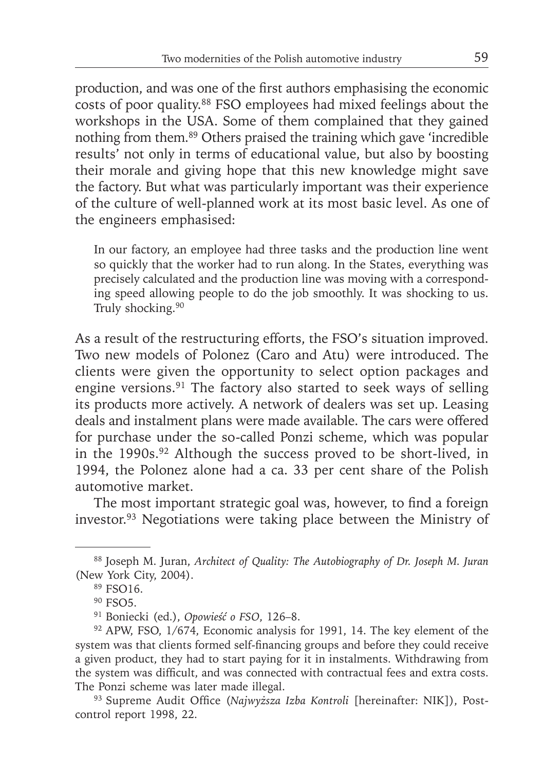production, and was one of the first authors emphasising the economic costs of poor quality.88 FSO employees had mixed feelings about the workshops in the USA. Some of them complained that they gained nothing from them.89 Others praised the training which gave 'incredible results' not only in terms of educational value, but also by boosting their morale and giving hope that this new knowledge might save the factory. But what was particularly important was their experience of the culture of well-planned work at its most basic level. As one of the engineers emphasised:

In our factory, an employee had three tasks and the production line went so quickly that the worker had to run along. In the States, everything was precisely calculated and the production line was moving with a corresponding speed allowing people to do the job smoothly. It was shocking to us. Truly shocking.<sup>90</sup>

As a result of the restructuring efforts, the FSO's situation improved. Two new models of Polonez (Caro and Atu) were introduced. The clients were given the opportunity to select option packages and engine versions.91 The factory also started to seek ways of selling its products more actively. A network of dealers was set up. Leasing deals and instalment plans were made available. The cars were offered for purchase under the so-called Ponzi scheme, which was popular in the 1990s.<sup>92</sup> Although the success proved to be short-lived, in 1994, the Polonez alone had a ca. 33 per cent share of the Polish automotive market.

The most important strategic goal was, however, to find a foreign investor.93 Negotiations were taking place between the Ministry of

<sup>88</sup> Joseph M. Juran, *Architect of Quality: The Autobiography of Dr. Joseph M. Juran* (New York City, 2004).

<sup>89</sup> FSO16.

<sup>&</sup>lt;sup>90</sup> FSO5.

<sup>91</sup> Boniecki (ed.), *Opowieść o FSO*, 126–8.

<sup>92</sup> APW, FSO, 1/674, Economic analysis for 1991, 14. The key element of the system was that clients formed self-financing groups and before they could receive a given product, they had to start paying for it in instalments. Withdrawing from the system was difficult, and was connected with contractual fees and extra costs. The Ponzi scheme was later made illegal.

<sup>&</sup>lt;sup>93</sup> Supreme Audit Office (*Najwyższa Izba Kontroli* [hereinafter: NIK]), Postcontrol report 1998, 22.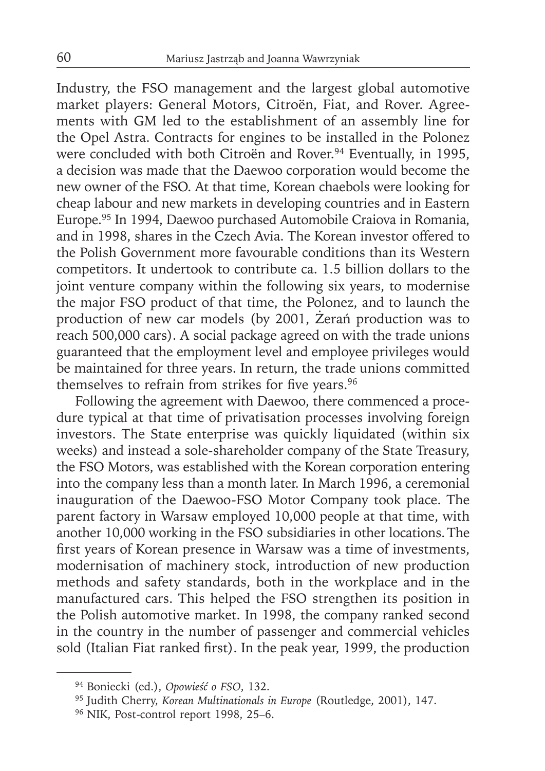Industry, the FSO management and the largest global automotive market players: General Motors, Citroën, Fiat, and Rover. Agreements with GM led to the establishment of an assembly line for the Opel Astra. Contracts for engines to be installed in the Polonez were concluded with both Citroën and Rover.<sup>94</sup> Eventually, in 1995, a decision was made that the Daewoo corporation would become the new owner of the FSO. At that time, Korean chaebols were looking for cheap labour and new markets in developing countries and in Eastern Europe.95 In 1994, Daewoo purchased Automobile Craiova in Romania, and in 1998, shares in the Czech Avia. The Korean investor offered to the Polish Government more favourable conditions than its Western competitors. It undertook to contribute ca. 1.5 billion dollars to the joint venture company within the following six years, to modernise the major FSO product of that time, the Polonez, and to launch the production of new car models (by 2001, Żerań production was to reach 500,000 cars). A social package agreed on with the trade unions guaranteed that the employment level and employee privileges would be maintained for three years. In return, the trade unions committed themselves to refrain from strikes for five years.<sup>96</sup>

Following the agreement with Daewoo, there commenced a procedure typical at that time of privatisation processes involving foreign investors. The State enterprise was quickly liquidated (within six weeks) and instead a sole-shareholder company of the State Treasury, the FSO Motors, was established with the Korean corporation entering into the company less than a month later. In March 1996, a ceremonial inauguration of the Daewoo-FSO Motor Company took place. The parent factory in Warsaw employed 10,000 people at that time, with another 10,000 working in the FSO subsidiaries in other locations. The first years of Korean presence in Warsaw was a time of investments, modernisation of machinery stock, introduction of new production methods and safety standards, both in the workplace and in the manufactured cars. This helped the FSO strengthen its position in the Polish automotive market. In 1998, the company ranked second in the country in the number of passenger and commercial vehicles sold (Italian Fiat ranked first). In the peak year, 1999, the production

<sup>94</sup> Boniecki (ed.), *Opowieść o FSO*, 132.

<sup>95</sup> Judith Cherry, *Korean Multinationals in Europe* (Routledge, 2001), 147.

<sup>96</sup> NIK, Post-control report 1998, 25–6.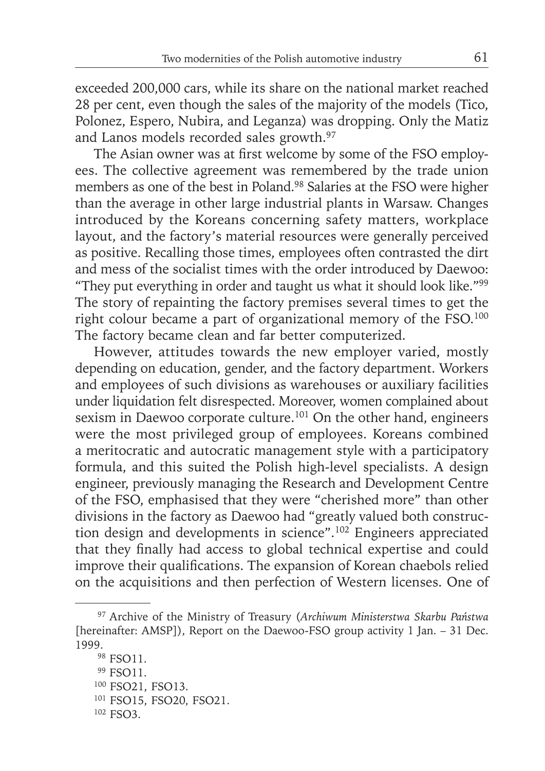exceeded 200,000 cars, while its share on the national market reached 28 per cent, even though the sales of the majority of the models (Tico, Polonez, Espero, Nubira, and Leganza) was dropping. Only the Matiz and Lanos models recorded sales growth.97

The Asian owner was at first welcome by some of the FSO employees. The collective agreement was remembered by the trade union members as one of the best in Poland.98 Salaries at the FSO were higher than the average in other large industrial plants in Warsaw. Changes introduced by the Koreans concerning safety matters, workplace layout, and the factory's material resources were generally perceived as positive. Recalling those times, employees often contrasted the dirt and mess of the socialist times with the order introduced by Daewoo: "They put everything in order and taught us what it should look like."99 The story of repainting the factory premises several times to get the right colour became a part of organizational memory of the FSO.100 The factory became clean and far better computerized.

However, attitudes towards the new employer varied, mostly depending on education, gender, and the factory department. Workers and employees of such divisions as warehouses or auxiliary facilities under liquidation felt disrespected. Moreover, women complained about sexism in Daewoo corporate culture.<sup>101</sup> On the other hand, engineers were the most privileged group of employees. Koreans combined a meritocratic and autocratic management style with a participatory formula, and this suited the Polish high-level specialists. A design engineer, previously managing the Research and Development Centre of the FSO, emphasised that they were "cherished more" than other divisions in the factory as Daewoo had "greatly valued both construction design and developments in science".102 Engineers appreciated that they finally had access to global technical expertise and could improve their qualifications. The expansion of Korean chaebols relied on the acquisitions and then perfection of Western licenses. One of

<sup>97</sup> Archive of the Ministry of Treasury (*Archiwum Ministerstwa Skarbu Państwa* [hereinafter: AMSP]), Report on the Daewoo-FSO group activity 1 Jan. – 31 Dec. 1999.<br><sup>98</sup> FSO11.

<sup>&</sup>lt;sup>99</sup> FSO11.

<sup>&</sup>lt;sup>100</sup> FSO21, FSO13.

<sup>101</sup> FSO15, FSO20, FSO21.

<sup>102</sup> FSO3.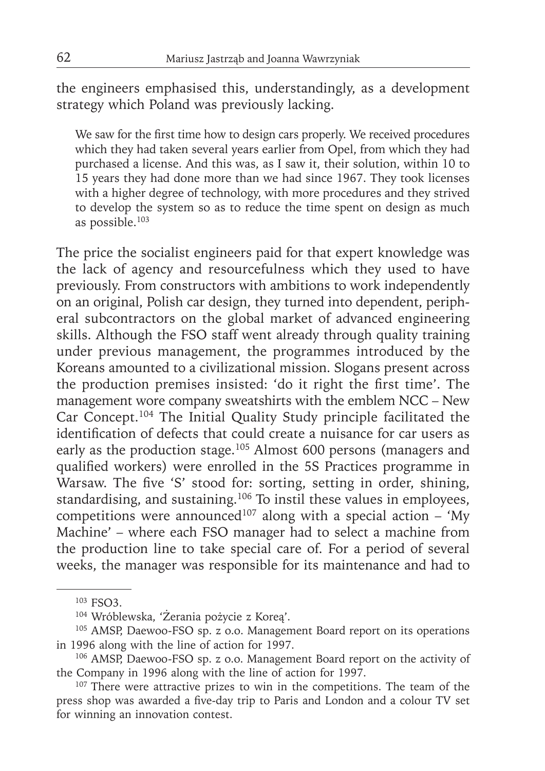the engineers emphasised this, understandingly, as a development strategy which Poland was previously lacking.

We saw for the first time how to design cars properly. We received procedures which they had taken several years earlier from Opel, from which they had purchased a license. And this was, as I saw it, their solution, within 10 to 15 years they had done more than we had since 1967. They took licenses with a higher degree of technology, with more procedures and they strived to develop the system so as to reduce the time spent on design as much as possible.103

The price the socialist engineers paid for that expert knowledge was the lack of agency and resourcefulness which they used to have previously. From constructors with ambitions to work independently on an original, Polish car design, they turned into dependent, peripheral subcontractors on the global market of advanced engineering skills. Although the FSO staff went already through quality training under previous management, the programmes introduced by the Koreans amounted to a civilizational mission. Slogans present across the production premises insisted: 'do it right the first time'. The management wore company sweatshirts with the emblem NCC – New Car Concept.<sup>104</sup> The Initial Quality Study principle facilitated the identification of defects that could create a nuisance for car users as early as the production stage.105 Almost 600 persons (managers and qualified workers) were enrolled in the 5S Practices programme in Warsaw. The five 'S' stood for: sorting, setting in order, shining, standardising, and sustaining.<sup>106</sup> To instil these values in employees, competitions were announced<sup>107</sup> along with a special action – 'My Machine' – where each FSO manager had to select a machine from the production line to take special care of. For a period of several weeks, the manager was responsible for its maintenance and had to

<sup>103</sup> FSO3.

<sup>104</sup> Wróblewska, 'Żerania pożycie z Koreą'.

<sup>&</sup>lt;sup>105</sup> AMSP, Daewoo-FSO sp. z o.o. Management Board report on its operations in 1996 along with the line of action for 1997.

<sup>106</sup> AMSP, Daewoo-FSO sp. z o.o. Management Board report on the activity of the Company in 1996 along with the line of action for 1997.

<sup>&</sup>lt;sup>107</sup> There were attractive prizes to win in the competitions. The team of the press shop was awarded a five-day trip to Paris and London and a colour TV set for winning an innovation contest.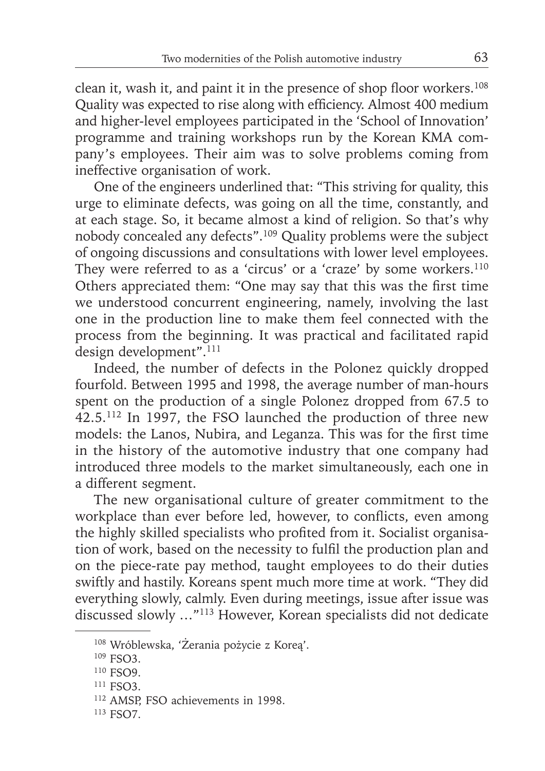clean it, wash it, and paint it in the presence of shop floor workers.<sup>108</sup> Quality was expected to rise along with efficiency. Almost 400 medium and higher-level employees participated in the 'School of Innovation' programme and training workshops run by the Korean KMA company's employees. Their aim was to solve problems coming from ineffective organisation of work.

One of the engineers underlined that: "This striving for quality, this urge to eliminate defects, was going on all the time, constantly, and at each stage. So, it became almost a kind of religion. So that's why nobody concealed any defects".109 Quality problems were the subject of ongoing discussions and consultations with lower level employees. They were referred to as a 'circus' or a 'craze' by some workers.<sup>110</sup> Others appreciated them: "One may say that this was the first time we understood concurrent engineering, namely, involving the last one in the production line to make them feel connected with the process from the beginning. It was practical and facilitated rapid design development".<sup>111</sup>

Indeed, the number of defects in the Polonez quickly dropped fourfold. Between 1995 and 1998, the average number of man-hours spent on the production of a single Polonez dropped from 67.5 to 42.5.112 In 1997, the FSO launched the production of three new models: the Lanos, Nubira, and Leganza. This was for the first time in the history of the automotive industry that one company had introduced three models to the market simultaneously, each one in a different segment.

The new organisational culture of greater commitment to the workplace than ever before led, however, to conflicts, even among the highly skilled specialists who profited from it. Socialist organisation of work, based on the necessity to fulfil the production plan and on the piece-rate pay method, taught employees to do their duties swiftly and hastily. Koreans spent much more time at work. "They did everything slowly, calmly. Even during meetings, issue after issue was discussed slowly …"113 However, Korean specialists did not dedicate

<sup>108</sup> Wróblewska, 'Żerania pożycie z Koreą'.

<sup>109</sup> FSO3.

<sup>&</sup>lt;sup>110</sup> FSO9.

<sup>&</sup>lt;sup>111</sup> FSO3.

<sup>112</sup> AMSP, FSO achievements in 1998.

<sup>113</sup> FSO7.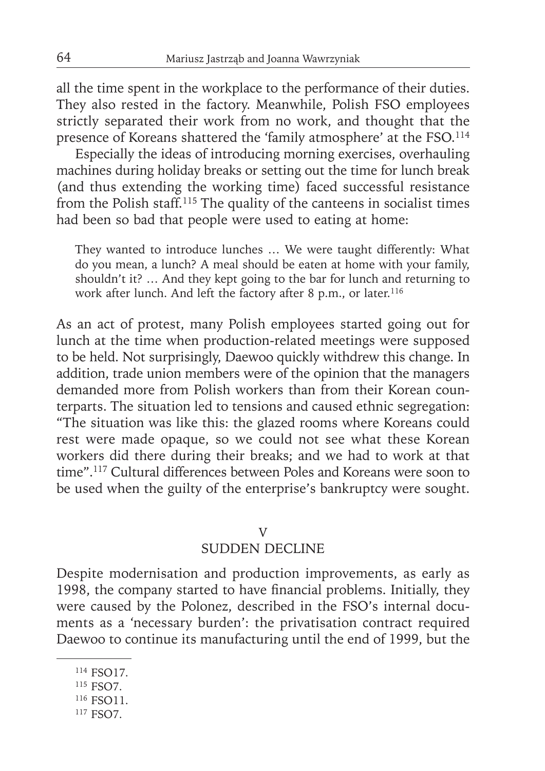all the time spent in the workplace to the performance of their duties. They also rested in the factory. Meanwhile, Polish FSO employees strictly separated their work from no work, and thought that the presence of Koreans shattered the 'family atmosphere' at the FSO.<sup>114</sup>

Especially the ideas of introducing morning exercises, overhauling machines during holiday breaks or setting out the time for lunch break (and thus extending the working time) faced successful resistance from the Polish staff.<sup>115</sup> The quality of the canteens in socialist times had been so bad that people were used to eating at home:

They wanted to introduce lunches … We were taught differently: What do you mean, a lunch? A meal should be eaten at home with your family, shouldn't it? … And they kept going to the bar for lunch and returning to work after lunch. And left the factory after 8 p.m., or later.<sup>116</sup>

As an act of protest, many Polish employees started going out for lunch at the time when production-related meetings were supposed to be held. Not surprisingly, Daewoo quickly withdrew this change. In addition, trade union members were of the opinion that the managers demanded more from Polish workers than from their Korean counterparts. The situation led to tensions and caused ethnic segregation: "The situation was like this: the glazed rooms where Koreans could rest were made opaque, so we could not see what these Korean workers did there during their breaks; and we had to work at that time".117 Cultural differences between Poles and Koreans were soon to be used when the guilty of the enterprise's bankruptcy were sought.

#### V

## SUDDEN DECLINE

Despite modernisation and production improvements, as early as 1998, the company started to have financial problems. Initially, they were caused by the Polonez, described in the FSO's internal documents as a 'necessary burden': the privatisation contract required Daewoo to continue its manufacturing until the end of 1999, but the

<sup>&</sup>lt;sup>114</sup> FSO17.

<sup>115</sup> FSO7.

<sup>&</sup>lt;sup>116</sup> FSO11.

<sup>&</sup>lt;sup>117</sup> FSO7.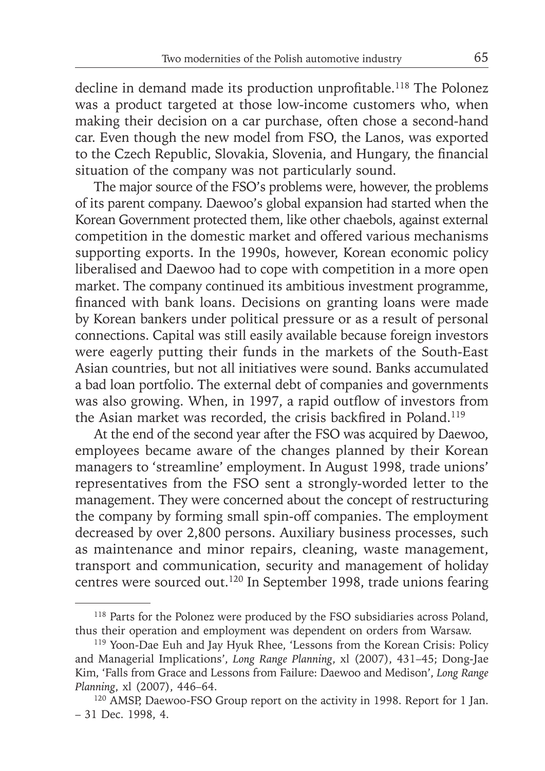decline in demand made its production unprofitable.<sup>118</sup> The Polonez was a product targeted at those low-income customers who, when making their decision on a car purchase, often chose a second-hand car. Even though the new model from FSO, the Lanos, was exported to the Czech Republic, Slovakia, Slovenia, and Hungary, the financial situation of the company was not particularly sound.

The major source of the FSO's problems were, however, the problems of its parent company. Daewoo's global expansion had started when the Korean Government protected them, like other chaebols, against external competition in the domestic market and offered various mechanisms supporting exports. In the 1990s, however, Korean economic policy liberalised and Daewoo had to cope with competition in a more open market. The company continued its ambitious investment programme, financed with bank loans. Decisions on granting loans were made by Korean bankers under political pressure or as a result of personal connections. Capital was still easily available because foreign investors were eagerly putting their funds in the markets of the South-East Asian countries, but not all initiatives were sound. Banks accumulated a bad loan portfolio. The external debt of companies and governments was also growing. When, in 1997, a rapid outflow of investors from the Asian market was recorded, the crisis backfired in Poland.<sup>119</sup>

At the end of the second year after the FSO was acquired by Daewoo, employees became aware of the changes planned by their Korean managers to 'streamline' employment. In August 1998, trade unions' representatives from the FSO sent a strongly-worded letter to the management. They were concerned about the concept of restructuring the company by forming small spin-off companies. The employment decreased by over 2,800 persons. Auxiliary business processes, such as maintenance and minor repairs, cleaning, waste management, transport and communication, security and management of holiday centres were sourced out.120 In September 1998, trade unions fearing

<sup>118</sup> Parts for the Polonez were produced by the FSO subsidiaries across Poland, thus their operation and employment was dependent on orders from Warsaw.

<sup>&</sup>lt;sup>119</sup> Yoon-Dae Euh and Jay Hyuk Rhee, 'Lessons from the Korean Crisis: Policy and Managerial Implications', *Long Range Planning*, xl (2007), 431–45; Dong-Jae Kim, 'Falls from Grace and Lessons from Failure: Daewoo and Medison', *Long Range Planning*, xl (2007), 446–64.

<sup>120</sup> AMSP, Daewoo-FSO Group report on the activity in 1998. Report for 1 Jan. – 31 Dec. 1998, 4.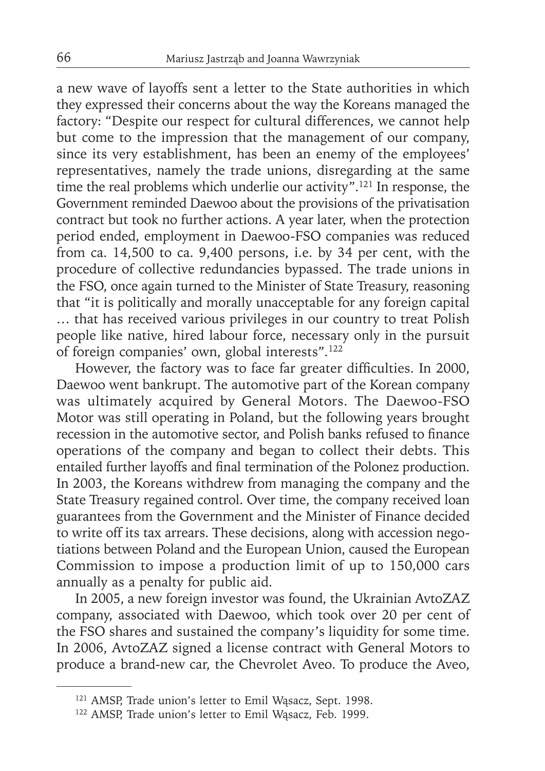a new wave of layoffs sent a letter to the State authorities in which they expressed their concerns about the way the Koreans managed the factory: "Despite our respect for cultural differences, we cannot help but come to the impression that the management of our company, since its very establishment, has been an enemy of the employees' representatives, namely the trade unions, disregarding at the same time the real problems which underlie our activity".<sup>121</sup> In response, the Government reminded Daewoo about the provisions of the privatisation contract but took no further actions. A year later, when the protection period ended, employment in Daewoo-FSO companies was reduced from ca. 14,500 to ca. 9,400 persons, i.e. by  $34$  per cent, with the procedure of collective redundancies bypassed. The trade unions in the FSO, once again turned to the Minister of State Treasury, reasoning that "it is politically and morally unacceptable for any foreign capital … that has received various privileges in our country to treat Polish people like native, hired labour force, necessary only in the pursuit of foreign companies' own, global interests".122

However, the factory was to face far greater difficulties. In 2000, Daewoo went bankrupt. The automotive part of the Korean company was ultimately acquired by General Motors. The Daewoo-FSO Motor was still operating in Poland, but the following years brought recession in the automotive sector, and Polish banks refused to finance operations of the company and began to collect their debts. This entailed further layoffs and final termination of the Polonez production. In 2003, the Koreans withdrew from managing the company and the State Treasury regained control. Over time, the company received loan guarantees from the Government and the Minister of Finance decided to write off its tax arrears. These decisions, along with accession negotiations between Poland and the European Union, caused the European Commission to impose a production limit of up to 150,000 cars annually as a penalty for public aid.

In 2005, a new foreign investor was found, the Ukrainian AvtoZAZ company, associated with Daewoo, which took over 20 per cent of the FSO shares and sustained the company's liquidity for some time. In 2006, AvtoZAZ signed a license contract with General Motors to produce a brand-new car, the Chevrolet Aveo. To produce the Aveo,

<sup>121</sup> AMSP, Trade union's letter to Emil Wąsacz, Sept. 1998.

<sup>122</sup> AMSP, Trade union's letter to Emil Wąsacz, Feb. 1999.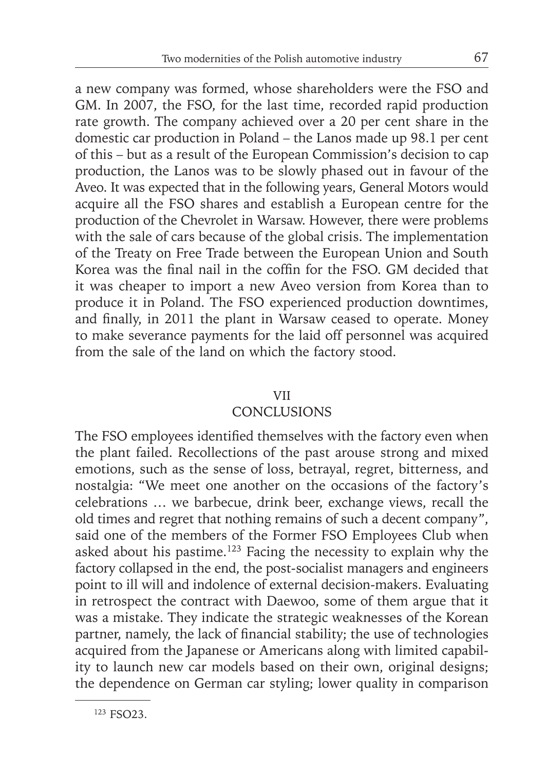a new company was formed, whose shareholders were the FSO and GM. In 2007, the FSO, for the last time, recorded rapid production rate growth. The company achieved over a 20 per cent share in the domestic car production in Poland – the Lanos made up 98.1 per cent of this – but as a result of the European Commission's decision to cap production, the Lanos was to be slowly phased out in favour of the Aveo. It was expected that in the following years, General Motors would acquire all the FSO shares and establish a European centre for the production of the Chevrolet in Warsaw. However, there were problems with the sale of cars because of the global crisis. The implementation of the Treaty on Free Trade between the European Union and South Korea was the final nail in the coffin for the  $FSO$ . GM decided that it was cheaper to import a new Aveo version from Korea than to produce it in Poland. The FSO experienced production downtimes, and finally, in 2011 the plant in Warsaw ceased to operate. Money to make severance payments for the laid off personnel was acquired from the sale of the land on which the factory stood.

## VII

# **CONCLUSIONS**

The FSO employees identified themselves with the factory even when the plant failed. Recollections of the past arouse strong and mixed emotions, such as the sense of loss, betrayal, regret, bitterness, and nostalgia: "We meet one another on the occasions of the factory's celebrations … we barbecue, drink beer, exchange views, recall the old times and regret that nothing remains of such a decent company", said one of the members of the Former FSO Employees Club when asked about his pastime.123 Facing the necessity to explain why the factory collapsed in the end, the post-socialist managers and engineers point to ill will and indolence of external decision-makers. Evaluating in retrospect the contract with Daewoo, some of them argue that it was a mistake. They indicate the strategic weaknesses of the Korean partner, namely, the lack of financial stability; the use of technologies acquired from the Japanese or Americans along with limited capability to launch new car models based on their own, original designs; the dependence on German car styling; lower quality in comparison

<sup>123</sup> FSO23.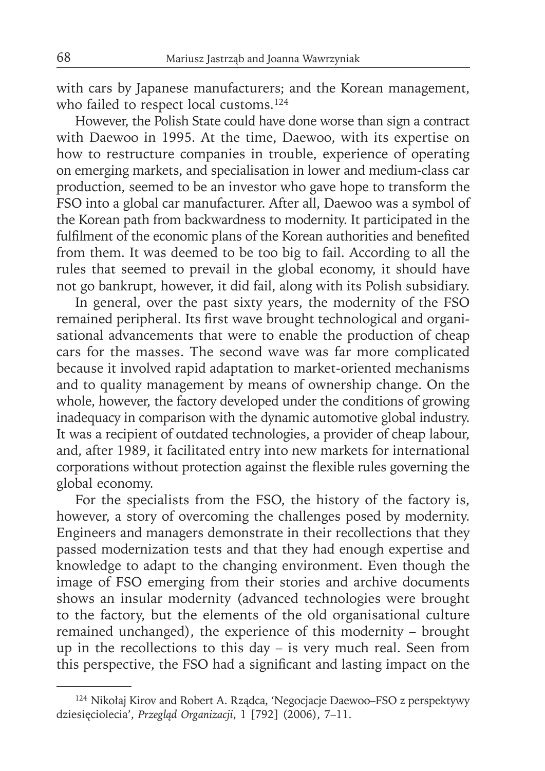with cars by Japanese manufacturers; and the Korean management, who failed to respect local customs.<sup>124</sup>

However, the Polish State could have done worse than sign a contract with Daewoo in 1995. At the time, Daewoo, with its expertise on how to restructure companies in trouble, experience of operating on emerging markets, and specialisation in lower and medium-class car production, seemed to be an investor who gave hope to transform the FSO into a global car manufacturer. After all, Daewoo was a symbol of the Korean path from backwardness to modernity. It participated in the fulfilment of the economic plans of the Korean authorities and benefited from them. It was deemed to be too big to fail. According to all the rules that seemed to prevail in the global economy, it should have not go bankrupt, however, it did fail, along with its Polish subsidiary.

In general, over the past sixty years, the modernity of the FSO remained peripheral. Its first wave brought technological and organisational advancements that were to enable the production of cheap cars for the masses. The second wave was far more complicated because it involved rapid adaptation to market-oriented mechanisms and to quality management by means of ownership change. On the whole, however, the factory developed under the conditions of growing inadequacy in comparison with the dynamic automotive global industry. It was a recipient of outdated technologies, a provider of cheap labour, and, after 1989, it facilitated entry into new markets for international corporations without protection against the flexible rules governing the global economy.

For the specialists from the FSO, the history of the factory is, however, a story of overcoming the challenges posed by modernity. Engineers and managers demonstrate in their recollections that they passed modernization tests and that they had enough expertise and knowledge to adapt to the changing environment. Even though the image of FSO emerging from their stories and archive documents shows an insular modernity (advanced technologies were brought to the factory, but the elements of the old organisational culture remained unchanged), the experience of this modernity – brought up in the recollections to this day – is very much real. Seen from this perspective, the FSO had a significant and lasting impact on the

<sup>124</sup> Nikołaj Kirov and Robert A. Rządca, 'Negocjacje Daewoo–FSO z perspektywy dziesięciolecia', *Przegląd Organizacji*, 1 [792] (2006), 7–11.